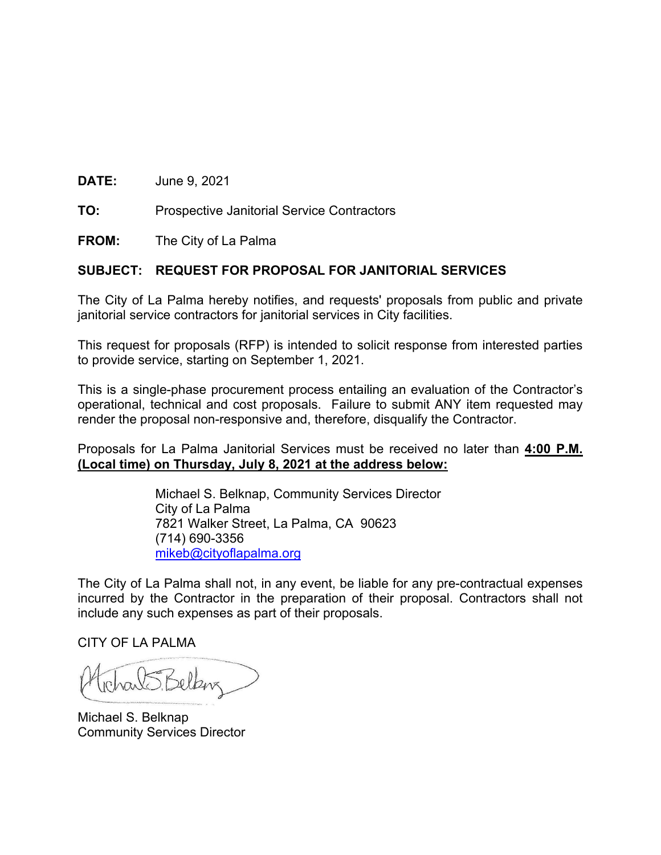**DATE:** June 9, 2021

**TO:** Prospective Janitorial Service Contractors

**FROM:** The City of La Palma

#### **SUBJECT: REQUEST FOR PROPOSAL FOR JANITORIAL SERVICES**

The City of La Palma hereby notifies, and requests' proposals from public and private janitorial service contractors for janitorial services in City facilities.

This request for proposals (RFP) is intended to solicit response from interested parties to provide service, starting on September 1, 2021.

This is a single-phase procurement process entailing an evaluation of the Contractor's operational, technical and cost proposals. Failure to submit ANY item requested may render the proposal non-responsive and, therefore, disqualify the Contractor.

Proposals for La Palma Janitorial Services must be received no later than **4:00 P.M. (Local time) on Thursday, July 8, 2021 at the address below:**

> Michael S. Belknap, Community Services Director City of La Palma 7821 Walker Street, La Palma, CA 90623 (714) 690-3356 mikeb@cityoflapalma.org

The City of La Palma shall not, in any event, be liable for any pre-contractual expenses incurred by the Contractor in the preparation of their proposal. Contractors shall not include any such expenses as part of their proposals.

CITY OF LA PALMA

arts Belken

Michael S. Belknap Community Services Director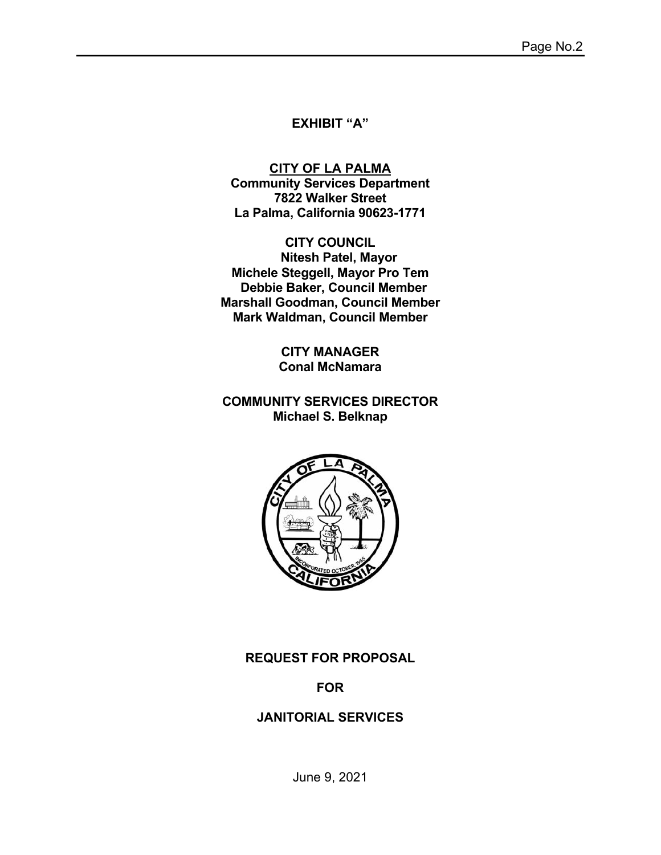#### **EXHIBIT "A"**

**CITY OF LA PALMA Community Services Department 7822 Walker Street La Palma, California 90623-1771** 

**CITY COUNCIL Nitesh Patel, Mayor Michele Steggell, Mayor Pro Tem Debbie Baker, Council Member Marshall Goodman, Council Member Mark Waldman, Council Member** 

> **CITY MANAGER Conal McNamara**

**COMMUNITY SERVICES DIRECTOR Michael S. Belknap** 



**REQUEST FOR PROPOSAL** 

## **FOR**

#### **JANITORIAL SERVICES**

June 9, 2021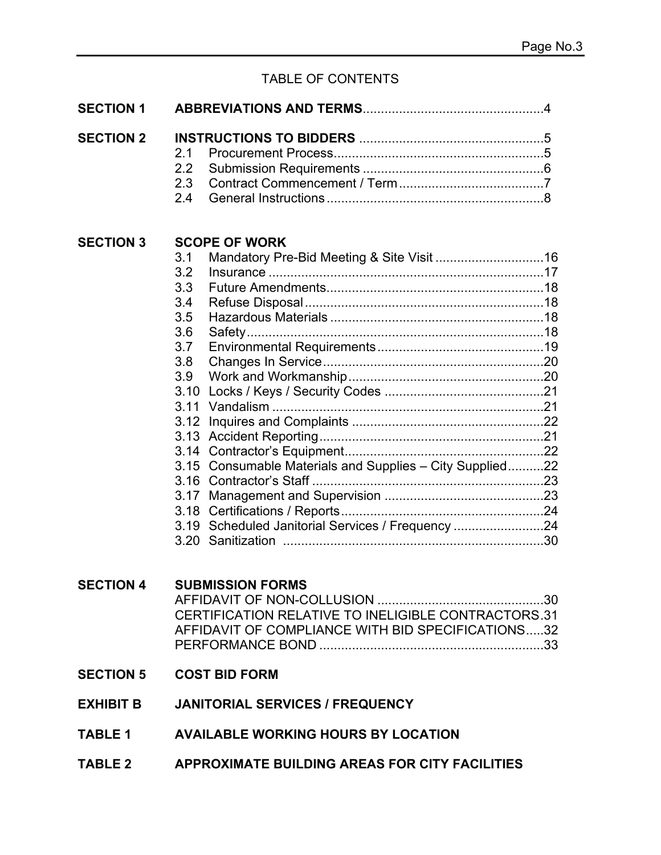## TABLE OF CONTENTS

| <b>SECTION 1</b> |                                                                                                                                                                                                                                                      |  |
|------------------|------------------------------------------------------------------------------------------------------------------------------------------------------------------------------------------------------------------------------------------------------|--|
| <b>SECTION 2</b> | 2.1<br>2.2<br>2.3<br>2.4                                                                                                                                                                                                                             |  |
| <b>SECTION 3</b> | <b>SCOPE OF WORK</b><br>3.1<br>3.2<br>3.3<br>3.4<br>3.5<br>3.6<br>3.7<br>3.8<br>3.9<br>3.10<br>3.11<br>3.12<br>3.13<br>3.15 Consumable Materials and Supplies - City Supplied22<br>3.16<br>3.17<br>3.19 Scheduled Janitorial Services / Frequency 24 |  |
| <b>SECTION 4</b> | <b>SUBMISSION FORMS</b><br>. 30<br>CERTIFICATION RELATIVE TO INELIGIBLE CONTRACTORS.31<br>AFFIDAVIT OF COMPLIANCE WITH BID SPECIFICATIONS32                                                                                                          |  |
|                  | <b>SECTION 5 COST BID FORM</b>                                                                                                                                                                                                                       |  |
| EXHIBIT B        | <b>JANITORIAL SERVICES / FREQUENCY</b>                                                                                                                                                                                                               |  |
| TABLE 1          | <b>AVAILABLE WORKING HOURS BY LOCATION</b>                                                                                                                                                                                                           |  |
|                  | TABLE 2 APPROXIMATE BUILDING AREAS FOR CITY FACILITIES                                                                                                                                                                                               |  |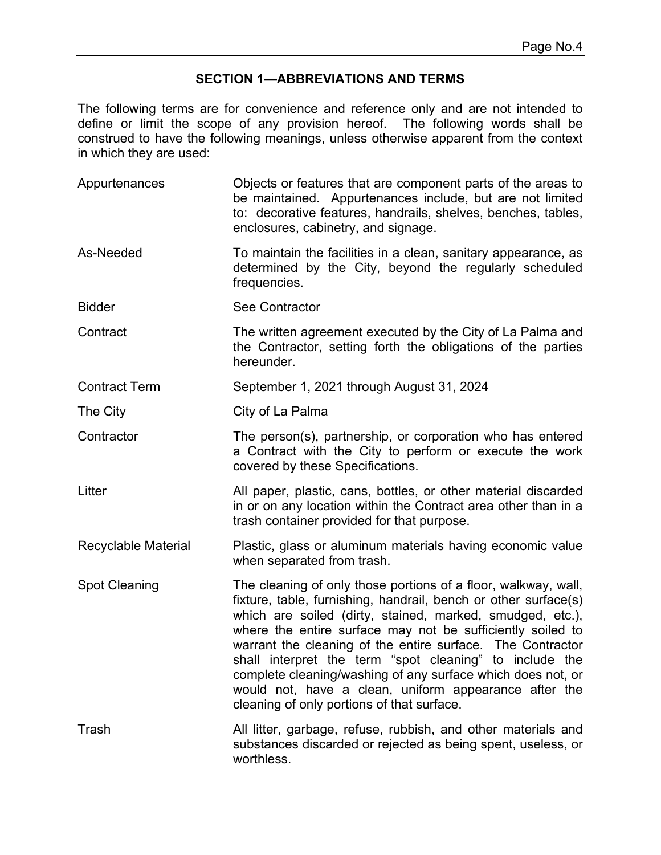#### **SECTION 1—ABBREVIATIONS AND TERMS**

The following terms are for convenience and reference only and are not intended to define or limit the scope of any provision hereof. The following words shall be construed to have the following meanings, unless otherwise apparent from the context in which they are used:

| Appurtenances        | Objects or features that are component parts of the areas to<br>be maintained. Appurtenances include, but are not limited<br>to: decorative features, handrails, shelves, benches, tables,<br>enclosures, cabinetry, and signage.                                                                                                                                                                                                                                                                                                                           |
|----------------------|-------------------------------------------------------------------------------------------------------------------------------------------------------------------------------------------------------------------------------------------------------------------------------------------------------------------------------------------------------------------------------------------------------------------------------------------------------------------------------------------------------------------------------------------------------------|
| As-Needed            | To maintain the facilities in a clean, sanitary appearance, as<br>determined by the City, beyond the regularly scheduled<br>frequencies.                                                                                                                                                                                                                                                                                                                                                                                                                    |
| <b>Bidder</b>        | <b>See Contractor</b>                                                                                                                                                                                                                                                                                                                                                                                                                                                                                                                                       |
| Contract             | The written agreement executed by the City of La Palma and<br>the Contractor, setting forth the obligations of the parties<br>hereunder.                                                                                                                                                                                                                                                                                                                                                                                                                    |
| <b>Contract Term</b> | September 1, 2021 through August 31, 2024                                                                                                                                                                                                                                                                                                                                                                                                                                                                                                                   |
| The City             | City of La Palma                                                                                                                                                                                                                                                                                                                                                                                                                                                                                                                                            |
| Contractor           | The person(s), partnership, or corporation who has entered<br>a Contract with the City to perform or execute the work<br>covered by these Specifications.                                                                                                                                                                                                                                                                                                                                                                                                   |
| Litter               | All paper, plastic, cans, bottles, or other material discarded<br>in or on any location within the Contract area other than in a<br>trash container provided for that purpose.                                                                                                                                                                                                                                                                                                                                                                              |
| Recyclable Material  | Plastic, glass or aluminum materials having economic value<br>when separated from trash.                                                                                                                                                                                                                                                                                                                                                                                                                                                                    |
| <b>Spot Cleaning</b> | The cleaning of only those portions of a floor, walkway, wall,<br>fixture, table, furnishing, handrail, bench or other surface(s)<br>which are soiled (dirty, stained, marked, smudged, etc.),<br>where the entire surface may not be sufficiently soiled to<br>warrant the cleaning of the entire surface. The Contractor<br>shall interpret the term "spot cleaning" to include the<br>complete cleaning/washing of any surface which does not, or<br>would not, have a clean, uniform appearance after the<br>cleaning of only portions of that surface. |
| Trash                | All litter, garbage, refuse, rubbish, and other materials and<br>substances discarded or rejected as being spent, useless, or<br>worthless.                                                                                                                                                                                                                                                                                                                                                                                                                 |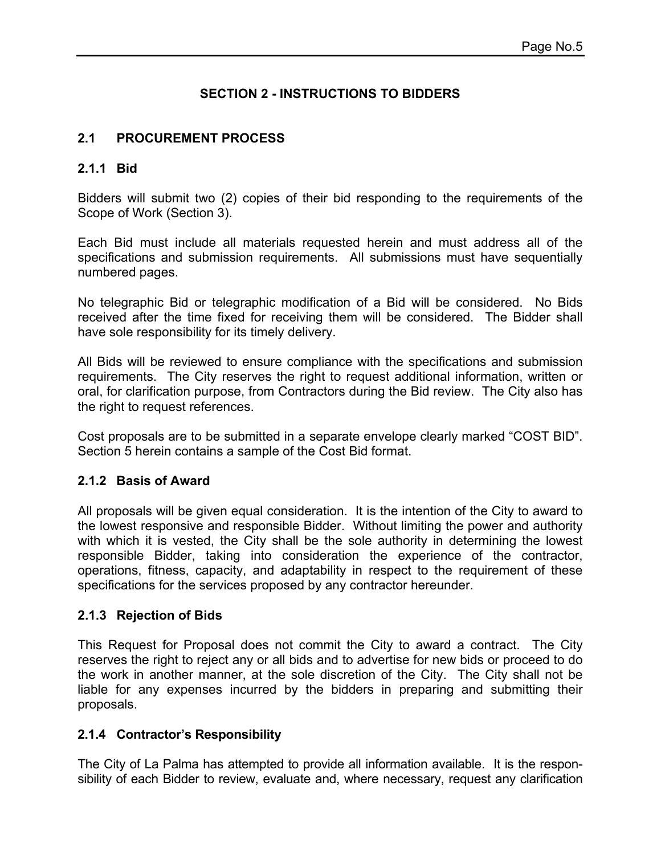## **SECTION 2 - INSTRUCTIONS TO BIDDERS**

#### **2.1 PROCUREMENT PROCESS**

#### **2.1.1 Bid**

Bidders will submit two (2) copies of their bid responding to the requirements of the Scope of Work (Section 3).

Each Bid must include all materials requested herein and must address all of the specifications and submission requirements. All submissions must have sequentially numbered pages.

No telegraphic Bid or telegraphic modification of a Bid will be considered. No Bids received after the time fixed for receiving them will be considered. The Bidder shall have sole responsibility for its timely delivery.

All Bids will be reviewed to ensure compliance with the specifications and submission requirements. The City reserves the right to request additional information, written or oral, for clarification purpose, from Contractors during the Bid review. The City also has the right to request references.

Cost proposals are to be submitted in a separate envelope clearly marked "COST BID". Section 5 herein contains a sample of the Cost Bid format.

#### **2.1.2 Basis of Award**

All proposals will be given equal consideration. It is the intention of the City to award to the lowest responsive and responsible Bidder. Without limiting the power and authority with which it is vested, the City shall be the sole authority in determining the lowest responsible Bidder, taking into consideration the experience of the contractor, operations, fitness, capacity, and adaptability in respect to the requirement of these specifications for the services proposed by any contractor hereunder.

#### **2.1.3 Rejection of Bids**

This Request for Proposal does not commit the City to award a contract. The City reserves the right to reject any or all bids and to advertise for new bids or proceed to do the work in another manner, at the sole discretion of the City. The City shall not be liable for any expenses incurred by the bidders in preparing and submitting their proposals.

#### **2.1.4 Contractor's Responsibility**

The City of La Palma has attempted to provide all information available. It is the responsibility of each Bidder to review, evaluate and, where necessary, request any clarification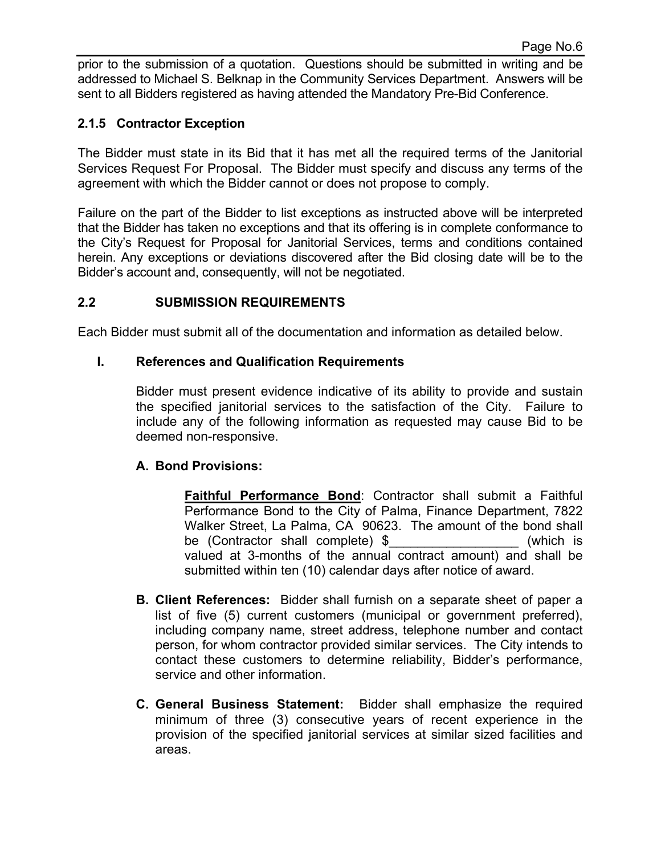prior to the submission of a quotation. Questions should be submitted in writing and be addressed to Michael S. Belknap in the Community Services Department. Answers will be sent to all Bidders registered as having attended the Mandatory Pre-Bid Conference.

#### **2.1.5 Contractor Exception**

The Bidder must state in its Bid that it has met all the required terms of the Janitorial Services Request For Proposal. The Bidder must specify and discuss any terms of the agreement with which the Bidder cannot or does not propose to comply.

Failure on the part of the Bidder to list exceptions as instructed above will be interpreted that the Bidder has taken no exceptions and that its offering is in complete conformance to the City's Request for Proposal for Janitorial Services, terms and conditions contained herein. Any exceptions or deviations discovered after the Bid closing date will be to the Bidder's account and, consequently, will not be negotiated.

#### **2.2 SUBMISSION REQUIREMENTS**

Each Bidder must submit all of the documentation and information as detailed below.

#### **I. References and Qualification Requirements**

Bidder must present evidence indicative of its ability to provide and sustain the specified janitorial services to the satisfaction of the City. Failure to include any of the following information as requested may cause Bid to be deemed non-responsive.

#### **A. Bond Provisions:**

**Faithful Performance Bond**: Contractor shall submit a Faithful Performance Bond to the City of Palma, Finance Department, 7822 Walker Street, La Palma, CA 90623. The amount of the bond shall be (Contractor shall complete) \$ (which is valued at 3-months of the annual contract amount) and shall be submitted within ten (10) calendar days after notice of award.

- **B. Client References:** Bidder shall furnish on a separate sheet of paper a list of five (5) current customers (municipal or government preferred), including company name, street address, telephone number and contact person, for whom contractor provided similar services. The City intends to contact these customers to determine reliability, Bidder's performance, service and other information.
- **C. General Business Statement:** Bidder shall emphasize the required minimum of three (3) consecutive years of recent experience in the provision of the specified janitorial services at similar sized facilities and areas.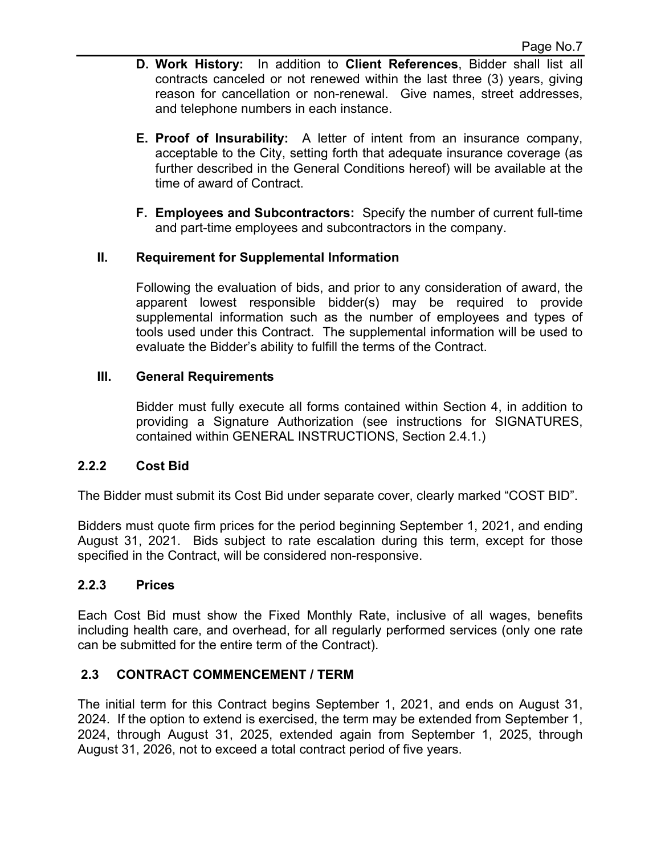- **D. Work History:** In addition to **Client References**, Bidder shall list all contracts canceled or not renewed within the last three (3) years, giving reason for cancellation or non-renewal. Give names, street addresses, and telephone numbers in each instance.
- **E. Proof of Insurability:** A letter of intent from an insurance company, acceptable to the City, setting forth that adequate insurance coverage (as further described in the General Conditions hereof) will be available at the time of award of Contract.
- **F. Employees and Subcontractors:** Specify the number of current full-time and part-time employees and subcontractors in the company.

## **II. Requirement for Supplemental Information**

Following the evaluation of bids, and prior to any consideration of award, the apparent lowest responsible bidder(s) may be required to provide supplemental information such as the number of employees and types of tools used under this Contract. The supplemental information will be used to evaluate the Bidder's ability to fulfill the terms of the Contract.

#### **III. General Requirements**

Bidder must fully execute all forms contained within Section 4, in addition to providing a Signature Authorization (see instructions for SIGNATURES, contained within GENERAL INSTRUCTIONS, Section 2.4.1.)

## **2.2.2 Cost Bid**

The Bidder must submit its Cost Bid under separate cover, clearly marked "COST BID".

Bidders must quote firm prices for the period beginning September 1, 2021, and ending August 31, 2021. Bids subject to rate escalation during this term, except for those specified in the Contract, will be considered non-responsive.

#### **2.2.3 Prices**

Each Cost Bid must show the Fixed Monthly Rate, inclusive of all wages, benefits including health care, and overhead, for all regularly performed services (only one rate can be submitted for the entire term of the Contract).

## **2.3 CONTRACT COMMENCEMENT / TERM**

The initial term for this Contract begins September 1, 2021, and ends on August 31, 2024. If the option to extend is exercised, the term may be extended from September 1, 2024, through August 31, 2025, extended again from September 1, 2025, through August 31, 2026, not to exceed a total contract period of five years.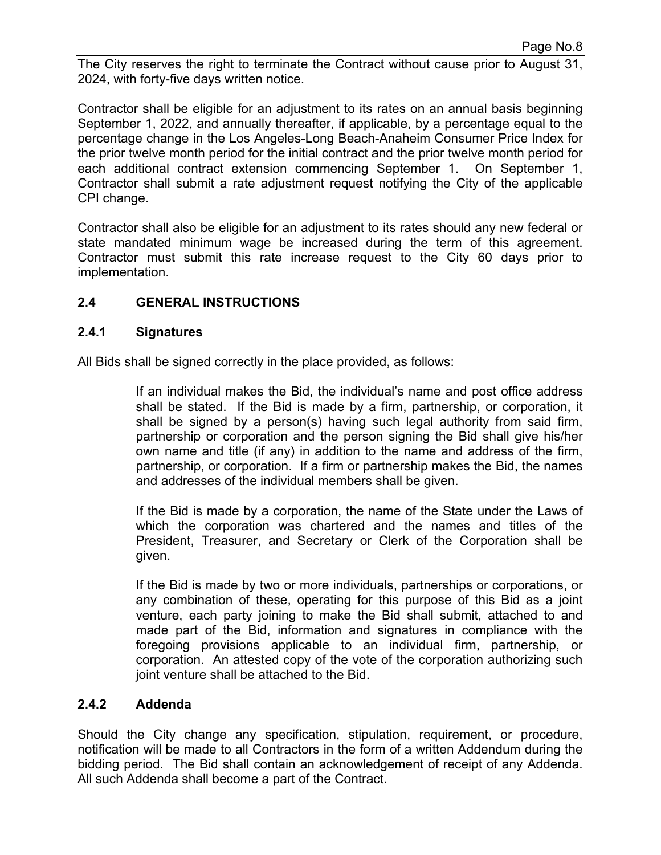The City reserves the right to terminate the Contract without cause prior to August 31, 2024, with forty-five days written notice.

Contractor shall be eligible for an adjustment to its rates on an annual basis beginning September 1, 2022, and annually thereafter, if applicable, by a percentage equal to the percentage change in the Los Angeles-Long Beach-Anaheim Consumer Price Index for the prior twelve month period for the initial contract and the prior twelve month period for each additional contract extension commencing September 1. On September 1, Contractor shall submit a rate adjustment request notifying the City of the applicable CPI change.

Contractor shall also be eligible for an adjustment to its rates should any new federal or state mandated minimum wage be increased during the term of this agreement. Contractor must submit this rate increase request to the City 60 days prior to implementation.

## **2.4 GENERAL INSTRUCTIONS**

#### **2.4.1 Signatures**

All Bids shall be signed correctly in the place provided, as follows:

 If an individual makes the Bid, the individual's name and post office address shall be stated. If the Bid is made by a firm, partnership, or corporation, it shall be signed by a person(s) having such legal authority from said firm, partnership or corporation and the person signing the Bid shall give his/her own name and title (if any) in addition to the name and address of the firm, partnership, or corporation. If a firm or partnership makes the Bid, the names and addresses of the individual members shall be given.

 If the Bid is made by a corporation, the name of the State under the Laws of which the corporation was chartered and the names and titles of the President, Treasurer, and Secretary or Clerk of the Corporation shall be given.

 If the Bid is made by two or more individuals, partnerships or corporations, or any combination of these, operating for this purpose of this Bid as a joint venture, each party joining to make the Bid shall submit, attached to and made part of the Bid, information and signatures in compliance with the foregoing provisions applicable to an individual firm, partnership, or corporation. An attested copy of the vote of the corporation authorizing such joint venture shall be attached to the Bid.

#### **2.4.2 Addenda**

Should the City change any specification, stipulation, requirement, or procedure, notification will be made to all Contractors in the form of a written Addendum during the bidding period. The Bid shall contain an acknowledgement of receipt of any Addenda. All such Addenda shall become a part of the Contract.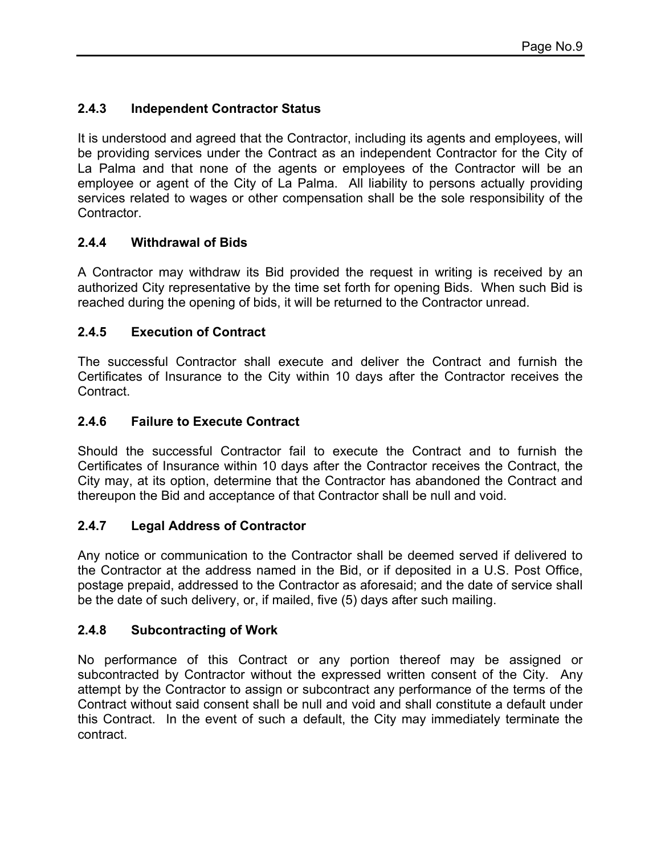# **2.4.3 Independent Contractor Status**

It is understood and agreed that the Contractor, including its agents and employees, will be providing services under the Contract as an independent Contractor for the City of La Palma and that none of the agents or employees of the Contractor will be an employee or agent of the City of La Palma. All liability to persons actually providing services related to wages or other compensation shall be the sole responsibility of the **Contractor** 

# **2.4.4 Withdrawal of Bids**

A Contractor may withdraw its Bid provided the request in writing is received by an authorized City representative by the time set forth for opening Bids. When such Bid is reached during the opening of bids, it will be returned to the Contractor unread.

## **2.4.5 Execution of Contract**

The successful Contractor shall execute and deliver the Contract and furnish the Certificates of Insurance to the City within 10 days after the Contractor receives the **Contract** 

## **2.4.6 Failure to Execute Contract**

Should the successful Contractor fail to execute the Contract and to furnish the Certificates of Insurance within 10 days after the Contractor receives the Contract, the City may, at its option, determine that the Contractor has abandoned the Contract and thereupon the Bid and acceptance of that Contractor shall be null and void.

# **2.4.7 Legal Address of Contractor**

Any notice or communication to the Contractor shall be deemed served if delivered to the Contractor at the address named in the Bid, or if deposited in a U.S. Post Office, postage prepaid, addressed to the Contractor as aforesaid; and the date of service shall be the date of such delivery, or, if mailed, five (5) days after such mailing.

## **2.4.8 Subcontracting of Work**

No performance of this Contract or any portion thereof may be assigned or subcontracted by Contractor without the expressed written consent of the City. Any attempt by the Contractor to assign or subcontract any performance of the terms of the Contract without said consent shall be null and void and shall constitute a default under this Contract. In the event of such a default, the City may immediately terminate the contract.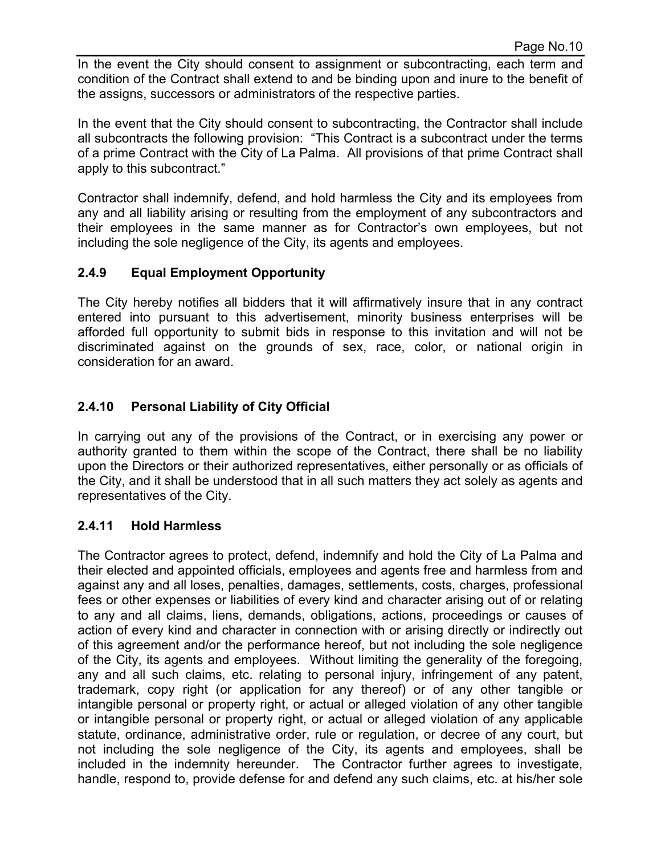In the event the City should consent to assignment or subcontracting, each term and condition of the Contract shall extend to and be binding upon and inure to the benefit of the assigns, successors or administrators of the respective parties.

In the event that the City should consent to subcontracting, the Contractor shall include all subcontracts the following provision: "This Contract is a subcontract under the terms of a prime Contract with the City of La Palma. All provisions of that prime Contract shall apply to this subcontract."

Contractor shall indemnify, defend, and hold harmless the City and its employees from any and all liability arising or resulting from the employment of any subcontractors and their employees in the same manner as for Contractor's own employees, but not including the sole negligence of the City, its agents and employees.

## **2.4.9 Equal Employment Opportunity**

The City hereby notifies all bidders that it will affirmatively insure that in any contract entered into pursuant to this advertisement, minority business enterprises will be afforded full opportunity to submit bids in response to this invitation and will not be discriminated against on the grounds of sex, race, color, or national origin in consideration for an award.

## **2.4.10 Personal Liability of City Official**

In carrying out any of the provisions of the Contract, or in exercising any power or authority granted to them within the scope of the Contract, there shall be no liability upon the Directors or their authorized representatives, either personally or as officials of the City, and it shall be understood that in all such matters they act solely as agents and representatives of the City.

## **2.4.11 Hold Harmless**

The Contractor agrees to protect, defend, indemnify and hold the City of La Palma and their elected and appointed officials, employees and agents free and harmless from and against any and all loses, penalties, damages, settlements, costs, charges, professional fees or other expenses or liabilities of every kind and character arising out of or relating to any and all claims, liens, demands, obligations, actions, proceedings or causes of action of every kind and character in connection with or arising directly or indirectly out of this agreement and/or the performance hereof, but not including the sole negligence of the City, its agents and employees. Without limiting the generality of the foregoing, any and all such claims, etc. relating to personal injury, infringement of any patent, trademark, copy right (or application for any thereof) or of any other tangible or intangible personal or property right, or actual or alleged violation of any other tangible or intangible personal or property right, or actual or alleged violation of any applicable statute, ordinance, administrative order, rule or regulation, or decree of any court, but not including the sole negligence of the City, its agents and employees, shall be included in the indemnity hereunder. The Contractor further agrees to investigate, handle, respond to, provide defense for and defend any such claims, etc. at his/her sole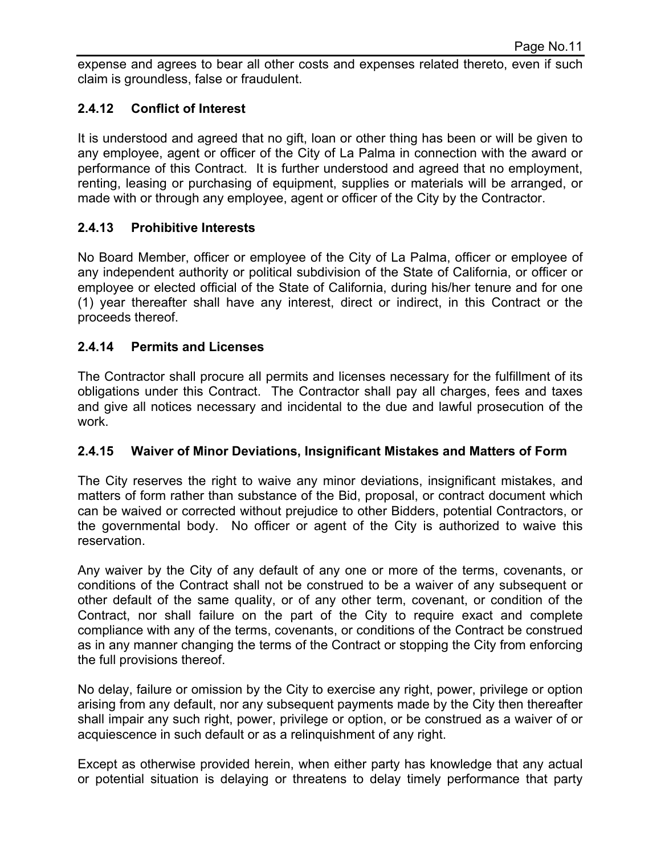expense and agrees to bear all other costs and expenses related thereto, even if such claim is groundless, false or fraudulent.

## **2.4.12 Conflict of Interest**

It is understood and agreed that no gift, loan or other thing has been or will be given to any employee, agent or officer of the City of La Palma in connection with the award or performance of this Contract. It is further understood and agreed that no employment, renting, leasing or purchasing of equipment, supplies or materials will be arranged, or made with or through any employee, agent or officer of the City by the Contractor.

## **2.4.13 Prohibitive Interests**

No Board Member, officer or employee of the City of La Palma, officer or employee of any independent authority or political subdivision of the State of California, or officer or employee or elected official of the State of California, during his/her tenure and for one (1) year thereafter shall have any interest, direct or indirect, in this Contract or the proceeds thereof.

## **2.4.14 Permits and Licenses**

The Contractor shall procure all permits and licenses necessary for the fulfillment of its obligations under this Contract. The Contractor shall pay all charges, fees and taxes and give all notices necessary and incidental to the due and lawful prosecution of the work.

## **2.4.15 Waiver of Minor Deviations, Insignificant Mistakes and Matters of Form**

The City reserves the right to waive any minor deviations, insignificant mistakes, and matters of form rather than substance of the Bid, proposal, or contract document which can be waived or corrected without prejudice to other Bidders, potential Contractors, or the governmental body. No officer or agent of the City is authorized to waive this reservation.

Any waiver by the City of any default of any one or more of the terms, covenants, or conditions of the Contract shall not be construed to be a waiver of any subsequent or other default of the same quality, or of any other term, covenant, or condition of the Contract, nor shall failure on the part of the City to require exact and complete compliance with any of the terms, covenants, or conditions of the Contract be construed as in any manner changing the terms of the Contract or stopping the City from enforcing the full provisions thereof.

No delay, failure or omission by the City to exercise any right, power, privilege or option arising from any default, nor any subsequent payments made by the City then thereafter shall impair any such right, power, privilege or option, or be construed as a waiver of or acquiescence in such default or as a relinquishment of any right.

Except as otherwise provided herein, when either party has knowledge that any actual or potential situation is delaying or threatens to delay timely performance that party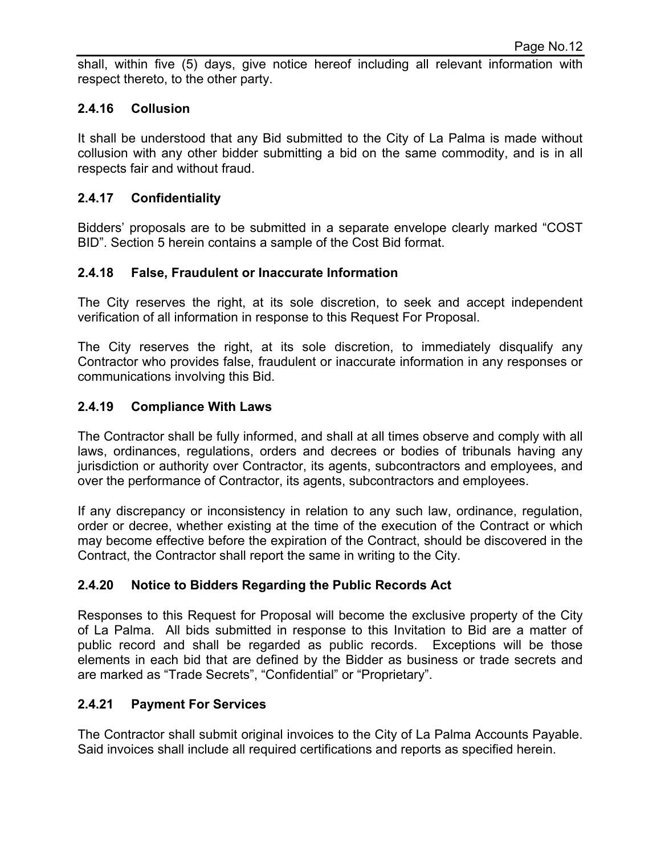shall, within five (5) days, give notice hereof including all relevant information with respect thereto, to the other party.

#### **2.4.16 Collusion**

It shall be understood that any Bid submitted to the City of La Palma is made without collusion with any other bidder submitting a bid on the same commodity, and is in all respects fair and without fraud.

#### **2.4.17 Confidentiality**

Bidders' proposals are to be submitted in a separate envelope clearly marked "COST BID". Section 5 herein contains a sample of the Cost Bid format.

#### **2.4.18 False, Fraudulent or Inaccurate Information**

The City reserves the right, at its sole discretion, to seek and accept independent verification of all information in response to this Request For Proposal.

The City reserves the right, at its sole discretion, to immediately disqualify any Contractor who provides false, fraudulent or inaccurate information in any responses or communications involving this Bid.

#### **2.4.19 Compliance With Laws**

The Contractor shall be fully informed, and shall at all times observe and comply with all laws, ordinances, regulations, orders and decrees or bodies of tribunals having any jurisdiction or authority over Contractor, its agents, subcontractors and employees, and over the performance of Contractor, its agents, subcontractors and employees.

If any discrepancy or inconsistency in relation to any such law, ordinance, regulation, order or decree, whether existing at the time of the execution of the Contract or which may become effective before the expiration of the Contract, should be discovered in the Contract, the Contractor shall report the same in writing to the City.

## **2.4.20 Notice to Bidders Regarding the Public Records Act**

Responses to this Request for Proposal will become the exclusive property of the City of La Palma. All bids submitted in response to this Invitation to Bid are a matter of public record and shall be regarded as public records. Exceptions will be those elements in each bid that are defined by the Bidder as business or trade secrets and are marked as "Trade Secrets", "Confidential" or "Proprietary".

#### **2.4.21 Payment For Services**

The Contractor shall submit original invoices to the City of La Palma Accounts Payable. Said invoices shall include all required certifications and reports as specified herein.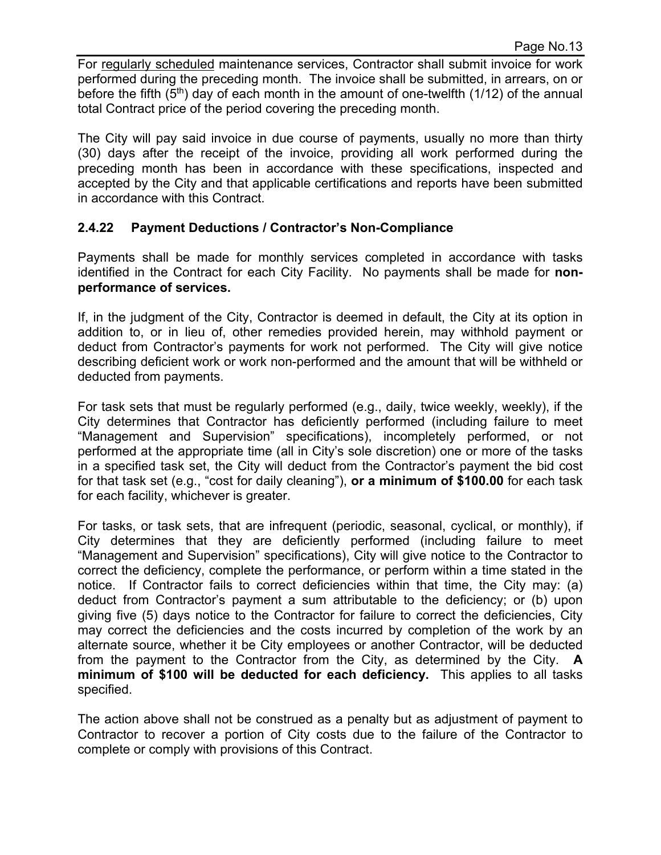For regularly scheduled maintenance services, Contractor shall submit invoice for work performed during the preceding month. The invoice shall be submitted, in arrears, on or before the fifth  $(5<sup>th</sup>)$  day of each month in the amount of one-twelfth  $(1/12)$  of the annual total Contract price of the period covering the preceding month.

The City will pay said invoice in due course of payments, usually no more than thirty (30) days after the receipt of the invoice, providing all work performed during the preceding month has been in accordance with these specifications, inspected and accepted by the City and that applicable certifications and reports have been submitted in accordance with this Contract.

#### **2.4.22 Payment Deductions / Contractor's Non-Compliance**

Payments shall be made for monthly services completed in accordance with tasks identified in the Contract for each City Facility. No payments shall be made for **nonperformance of services.** 

If, in the judgment of the City, Contractor is deemed in default, the City at its option in addition to, or in lieu of, other remedies provided herein, may withhold payment or deduct from Contractor's payments for work not performed. The City will give notice describing deficient work or work non-performed and the amount that will be withheld or deducted from payments.

For task sets that must be regularly performed (e.g., daily, twice weekly, weekly), if the City determines that Contractor has deficiently performed (including failure to meet "Management and Supervision" specifications), incompletely performed, or not performed at the appropriate time (all in City's sole discretion) one or more of the tasks in a specified task set, the City will deduct from the Contractor's payment the bid cost for that task set (e.g., "cost for daily cleaning"), **or a minimum of \$100.00** for each task for each facility, whichever is greater.

For tasks, or task sets, that are infrequent (periodic, seasonal, cyclical, or monthly), if City determines that they are deficiently performed (including failure to meet "Management and Supervision" specifications), City will give notice to the Contractor to correct the deficiency, complete the performance, or perform within a time stated in the notice. If Contractor fails to correct deficiencies within that time, the City may: (a) deduct from Contractor's payment a sum attributable to the deficiency; or (b) upon giving five (5) days notice to the Contractor for failure to correct the deficiencies, City may correct the deficiencies and the costs incurred by completion of the work by an alternate source, whether it be City employees or another Contractor, will be deducted from the payment to the Contractor from the City, as determined by the City. **A minimum of \$100 will be deducted for each deficiency.** This applies to all tasks specified.

The action above shall not be construed as a penalty but as adjustment of payment to Contractor to recover a portion of City costs due to the failure of the Contractor to complete or comply with provisions of this Contract.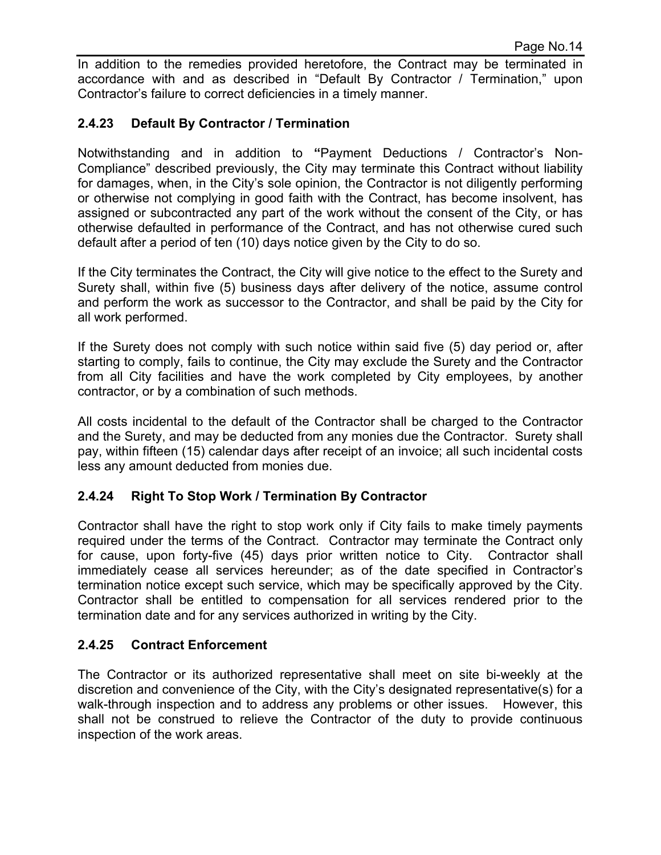In addition to the remedies provided heretofore, the Contract may be terminated in accordance with and as described in "Default By Contractor / Termination," upon Contractor's failure to correct deficiencies in a timely manner.

#### **2.4.23 Default By Contractor / Termination**

Notwithstanding and in addition to **"**Payment Deductions / Contractor's Non-Compliance" described previously, the City may terminate this Contract without liability for damages, when, in the City's sole opinion, the Contractor is not diligently performing or otherwise not complying in good faith with the Contract, has become insolvent, has assigned or subcontracted any part of the work without the consent of the City, or has otherwise defaulted in performance of the Contract, and has not otherwise cured such default after a period of ten (10) days notice given by the City to do so.

If the City terminates the Contract, the City will give notice to the effect to the Surety and Surety shall, within five (5) business days after delivery of the notice, assume control and perform the work as successor to the Contractor, and shall be paid by the City for all work performed.

If the Surety does not comply with such notice within said five (5) day period or, after starting to comply, fails to continue, the City may exclude the Surety and the Contractor from all City facilities and have the work completed by City employees, by another contractor, or by a combination of such methods.

All costs incidental to the default of the Contractor shall be charged to the Contractor and the Surety, and may be deducted from any monies due the Contractor. Surety shall pay, within fifteen (15) calendar days after receipt of an invoice; all such incidental costs less any amount deducted from monies due.

#### **2.4.24 Right To Stop Work / Termination By Contractor**

Contractor shall have the right to stop work only if City fails to make timely payments required under the terms of the Contract. Contractor may terminate the Contract only for cause, upon forty-five (45) days prior written notice to City. Contractor shall immediately cease all services hereunder; as of the date specified in Contractor's termination notice except such service, which may be specifically approved by the City. Contractor shall be entitled to compensation for all services rendered prior to the termination date and for any services authorized in writing by the City.

#### **2.4.25 Contract Enforcement**

The Contractor or its authorized representative shall meet on site bi-weekly at the discretion and convenience of the City, with the City's designated representative(s) for a walk-through inspection and to address any problems or other issues. However, this shall not be construed to relieve the Contractor of the duty to provide continuous inspection of the work areas.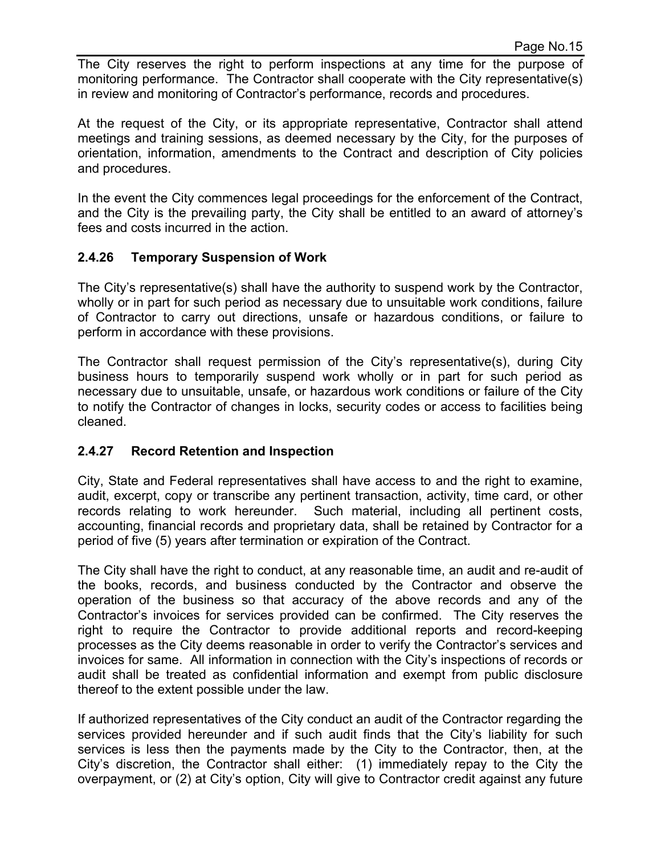The City reserves the right to perform inspections at any time for the purpose of monitoring performance. The Contractor shall cooperate with the City representative(s) in review and monitoring of Contractor's performance, records and procedures.

At the request of the City, or its appropriate representative, Contractor shall attend meetings and training sessions, as deemed necessary by the City, for the purposes of orientation, information, amendments to the Contract and description of City policies and procedures.

In the event the City commences legal proceedings for the enforcement of the Contract, and the City is the prevailing party, the City shall be entitled to an award of attorney's fees and costs incurred in the action.

## **2.4.26 Temporary Suspension of Work**

The City's representative(s) shall have the authority to suspend work by the Contractor, wholly or in part for such period as necessary due to unsuitable work conditions, failure of Contractor to carry out directions, unsafe or hazardous conditions, or failure to perform in accordance with these provisions.

The Contractor shall request permission of the City's representative(s), during City business hours to temporarily suspend work wholly or in part for such period as necessary due to unsuitable, unsafe, or hazardous work conditions or failure of the City to notify the Contractor of changes in locks, security codes or access to facilities being cleaned.

## **2.4.27 Record Retention and Inspection**

City, State and Federal representatives shall have access to and the right to examine, audit, excerpt, copy or transcribe any pertinent transaction, activity, time card, or other records relating to work hereunder. Such material, including all pertinent costs, accounting, financial records and proprietary data, shall be retained by Contractor for a period of five (5) years after termination or expiration of the Contract.

The City shall have the right to conduct, at any reasonable time, an audit and re-audit of the books, records, and business conducted by the Contractor and observe the operation of the business so that accuracy of the above records and any of the Contractor's invoices for services provided can be confirmed. The City reserves the right to require the Contractor to provide additional reports and record-keeping processes as the City deems reasonable in order to verify the Contractor's services and invoices for same. All information in connection with the City's inspections of records or audit shall be treated as confidential information and exempt from public disclosure thereof to the extent possible under the law.

If authorized representatives of the City conduct an audit of the Contractor regarding the services provided hereunder and if such audit finds that the City's liability for such services is less then the payments made by the City to the Contractor, then, at the City's discretion, the Contractor shall either: (1) immediately repay to the City the overpayment, or (2) at City's option, City will give to Contractor credit against any future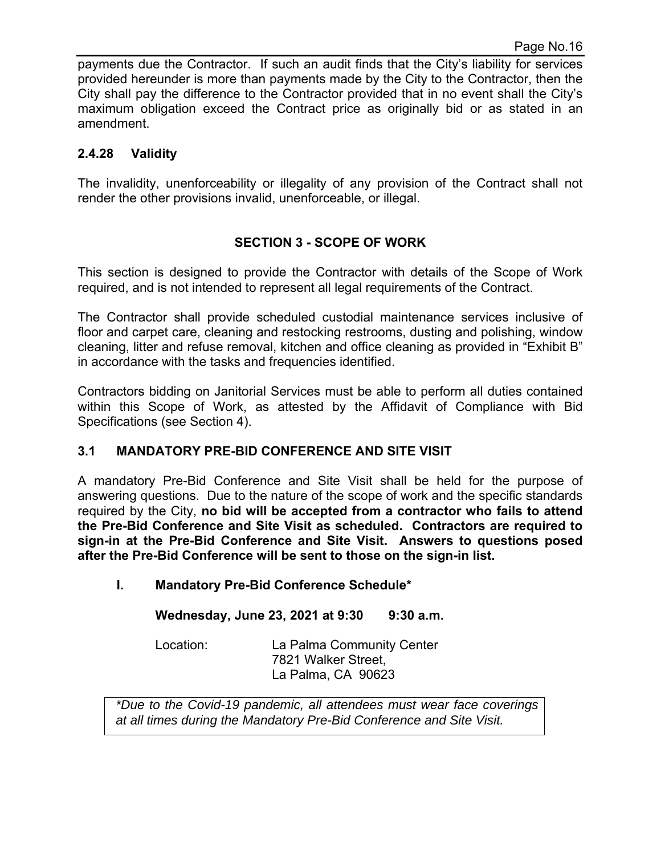payments due the Contractor. If such an audit finds that the City's liability for services provided hereunder is more than payments made by the City to the Contractor, then the City shall pay the difference to the Contractor provided that in no event shall the City's maximum obligation exceed the Contract price as originally bid or as stated in an amendment.

## **2.4.28 Validity**

The invalidity, unenforceability or illegality of any provision of the Contract shall not render the other provisions invalid, unenforceable, or illegal.

## **SECTION 3 - SCOPE OF WORK**

This section is designed to provide the Contractor with details of the Scope of Work required, and is not intended to represent all legal requirements of the Contract.

The Contractor shall provide scheduled custodial maintenance services inclusive of floor and carpet care, cleaning and restocking restrooms, dusting and polishing, window cleaning, litter and refuse removal, kitchen and office cleaning as provided in "Exhibit B" in accordance with the tasks and frequencies identified.

Contractors bidding on Janitorial Services must be able to perform all duties contained within this Scope of Work, as attested by the Affidavit of Compliance with Bid Specifications (see Section 4).

## **3.1 MANDATORY PRE-BID CONFERENCE AND SITE VISIT**

A mandatory Pre-Bid Conference and Site Visit shall be held for the purpose of answering questions. Due to the nature of the scope of work and the specific standards required by the City, **no bid will be accepted from a contractor who fails to attend the Pre-Bid Conference and Site Visit as scheduled. Contractors are required to sign-in at the Pre-Bid Conference and Site Visit. Answers to questions posed after the Pre-Bid Conference will be sent to those on the sign-in list.** 

**I. Mandatory Pre-Bid Conference Schedule\*** 

**Wednesday, June 23, 2021 at 9:30 9:30 a.m.** 

Location: La Palma Community Center 7821 Walker Street, La Palma, CA 90623

*\*Due to the Covid-19 pandemic, all attendees must wear face coverings at all times during the Mandatory Pre-Bid Conference and Site Visit.*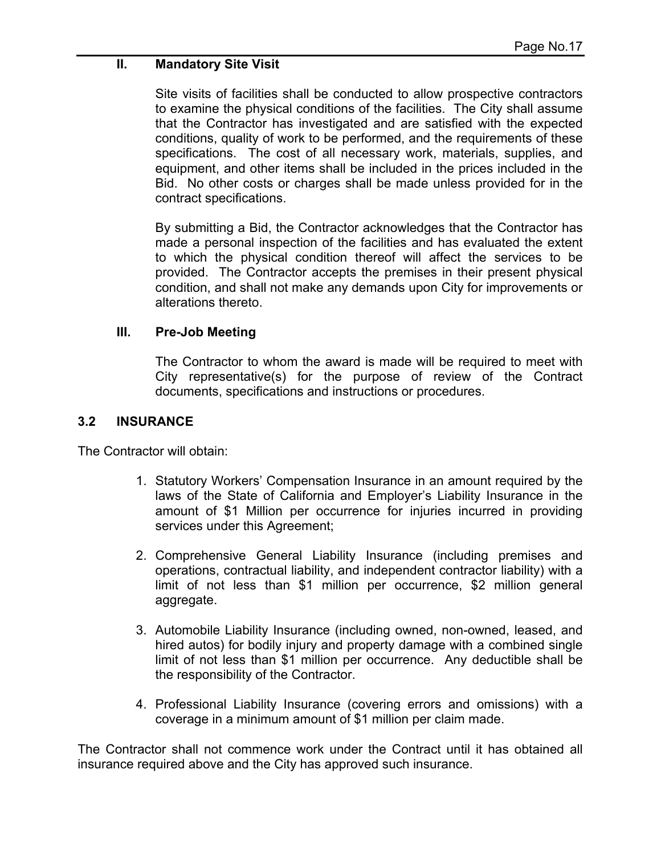#### **II. Mandatory Site Visit**

Site visits of facilities shall be conducted to allow prospective contractors to examine the physical conditions of the facilities. The City shall assume that the Contractor has investigated and are satisfied with the expected conditions, quality of work to be performed, and the requirements of these specifications. The cost of all necessary work, materials, supplies, and equipment, and other items shall be included in the prices included in the Bid. No other costs or charges shall be made unless provided for in the contract specifications.

By submitting a Bid, the Contractor acknowledges that the Contractor has made a personal inspection of the facilities and has evaluated the extent to which the physical condition thereof will affect the services to be provided. The Contractor accepts the premises in their present physical condition, and shall not make any demands upon City for improvements or alterations thereto.

#### **III. Pre-Job Meeting**

The Contractor to whom the award is made will be required to meet with City representative(s) for the purpose of review of the Contract documents, specifications and instructions or procedures.

#### **3.2 INSURANCE**

The Contractor will obtain:

- 1. Statutory Workers' Compensation Insurance in an amount required by the laws of the State of California and Employer's Liability Insurance in the amount of \$1 Million per occurrence for injuries incurred in providing services under this Agreement;
- 2. Comprehensive General Liability Insurance (including premises and operations, contractual liability, and independent contractor liability) with a limit of not less than \$1 million per occurrence, \$2 million general aggregate.
- 3. Automobile Liability Insurance (including owned, non-owned, leased, and hired autos) for bodily injury and property damage with a combined single limit of not less than \$1 million per occurrence. Any deductible shall be the responsibility of the Contractor.
- 4. Professional Liability Insurance (covering errors and omissions) with a coverage in a minimum amount of \$1 million per claim made.

The Contractor shall not commence work under the Contract until it has obtained all insurance required above and the City has approved such insurance.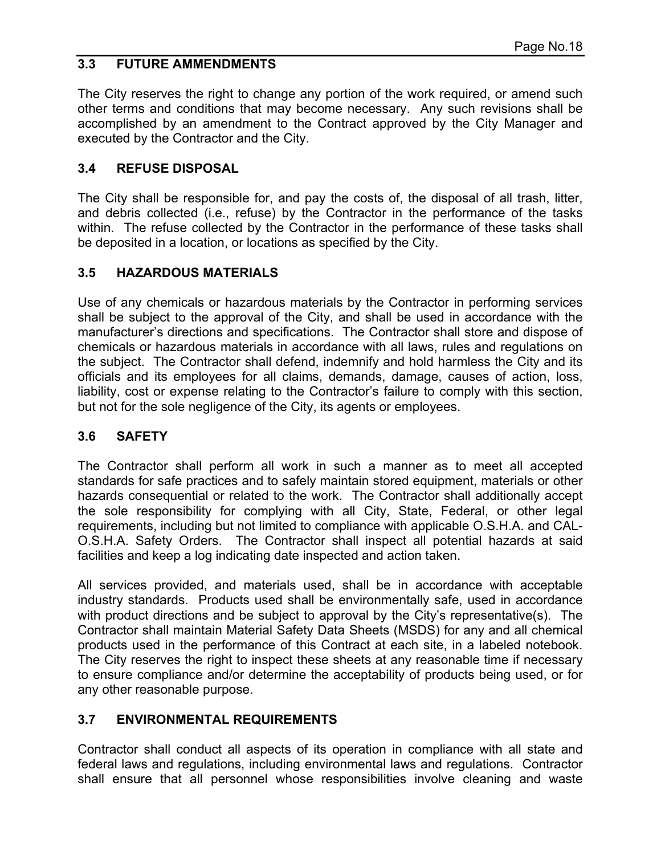## **3.3 FUTURE AMMENDMENTS**

The City reserves the right to change any portion of the work required, or amend such other terms and conditions that may become necessary. Any such revisions shall be accomplished by an amendment to the Contract approved by the City Manager and executed by the Contractor and the City.

## **3.4 REFUSE DISPOSAL**

The City shall be responsible for, and pay the costs of, the disposal of all trash, litter, and debris collected (i.e., refuse) by the Contractor in the performance of the tasks within. The refuse collected by the Contractor in the performance of these tasks shall be deposited in a location, or locations as specified by the City.

## **3.5 HAZARDOUS MATERIALS**

Use of any chemicals or hazardous materials by the Contractor in performing services shall be subject to the approval of the City, and shall be used in accordance with the manufacturer's directions and specifications. The Contractor shall store and dispose of chemicals or hazardous materials in accordance with all laws, rules and regulations on the subject. The Contractor shall defend, indemnify and hold harmless the City and its officials and its employees for all claims, demands, damage, causes of action, loss, liability, cost or expense relating to the Contractor's failure to comply with this section, but not for the sole negligence of the City, its agents or employees.

# **3.6 SAFETY**

The Contractor shall perform all work in such a manner as to meet all accepted standards for safe practices and to safely maintain stored equipment, materials or other hazards consequential or related to the work. The Contractor shall additionally accept the sole responsibility for complying with all City, State, Federal, or other legal requirements, including but not limited to compliance with applicable O.S.H.A. and CAL-O.S.H.A. Safety Orders. The Contractor shall inspect all potential hazards at said facilities and keep a log indicating date inspected and action taken.

All services provided, and materials used, shall be in accordance with acceptable industry standards. Products used shall be environmentally safe, used in accordance with product directions and be subject to approval by the City's representative(s). The Contractor shall maintain Material Safety Data Sheets (MSDS) for any and all chemical products used in the performance of this Contract at each site, in a labeled notebook. The City reserves the right to inspect these sheets at any reasonable time if necessary to ensure compliance and/or determine the acceptability of products being used, or for any other reasonable purpose.

## **3.7 ENVIRONMENTAL REQUIREMENTS**

Contractor shall conduct all aspects of its operation in compliance with all state and federal laws and regulations, including environmental laws and regulations. Contractor shall ensure that all personnel whose responsibilities involve cleaning and waste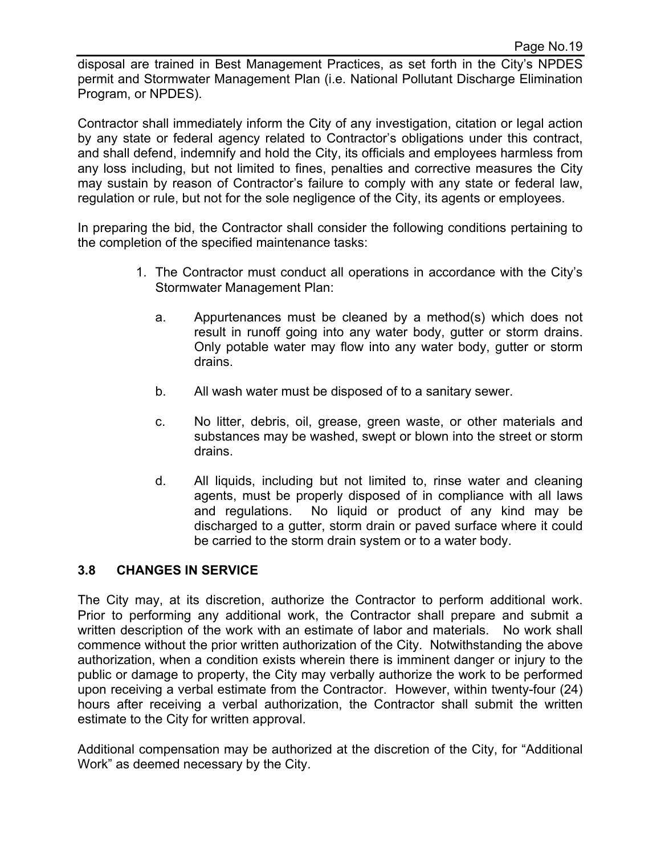disposal are trained in Best Management Practices, as set forth in the City's NPDES permit and Stormwater Management Plan (i.e. National Pollutant Discharge Elimination Program, or NPDES).

Contractor shall immediately inform the City of any investigation, citation or legal action by any state or federal agency related to Contractor's obligations under this contract, and shall defend, indemnify and hold the City, its officials and employees harmless from any loss including, but not limited to fines, penalties and corrective measures the City may sustain by reason of Contractor's failure to comply with any state or federal law, regulation or rule, but not for the sole negligence of the City, its agents or employees.

In preparing the bid, the Contractor shall consider the following conditions pertaining to the completion of the specified maintenance tasks:

- 1. The Contractor must conduct all operations in accordance with the City's Stormwater Management Plan:
	- a. Appurtenances must be cleaned by a method(s) which does not result in runoff going into any water body, gutter or storm drains. Only potable water may flow into any water body, gutter or storm drains.
	- b. All wash water must be disposed of to a sanitary sewer.
	- c. No litter, debris, oil, grease, green waste, or other materials and substances may be washed, swept or blown into the street or storm drains.
	- d. All liquids, including but not limited to, rinse water and cleaning agents, must be properly disposed of in compliance with all laws and regulations. No liquid or product of any kind may be discharged to a gutter, storm drain or paved surface where it could be carried to the storm drain system or to a water body.

## **3.8 CHANGES IN SERVICE**

The City may, at its discretion, authorize the Contractor to perform additional work. Prior to performing any additional work, the Contractor shall prepare and submit a written description of the work with an estimate of labor and materials. No work shall commence without the prior written authorization of the City. Notwithstanding the above authorization, when a condition exists wherein there is imminent danger or injury to the public or damage to property, the City may verbally authorize the work to be performed upon receiving a verbal estimate from the Contractor. However, within twenty-four (24) hours after receiving a verbal authorization, the Contractor shall submit the written estimate to the City for written approval.

Additional compensation may be authorized at the discretion of the City, for "Additional Work" as deemed necessary by the City.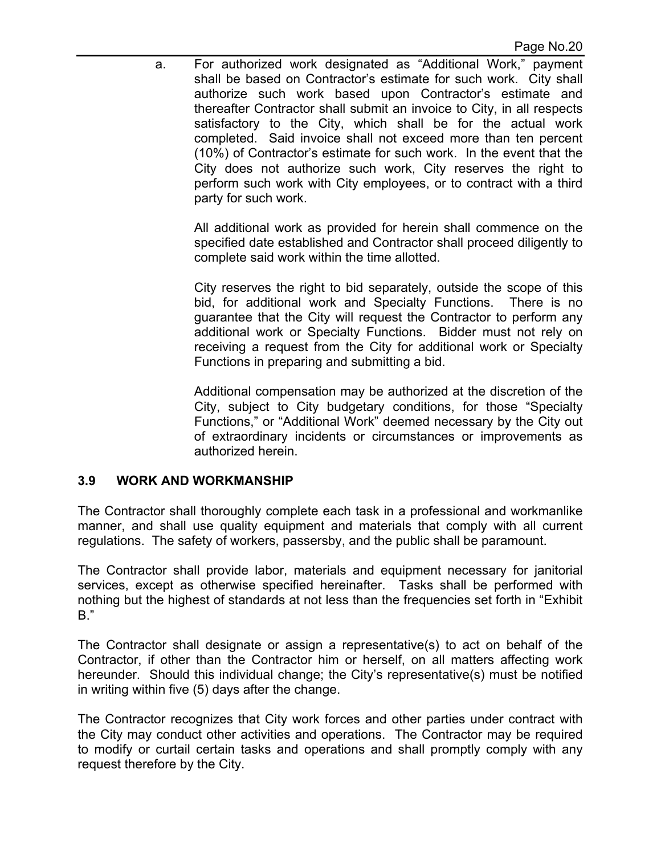a. For authorized work designated as "Additional Work," payment shall be based on Contractor's estimate for such work. City shall authorize such work based upon Contractor's estimate and thereafter Contractor shall submit an invoice to City, in all respects satisfactory to the City, which shall be for the actual work completed. Said invoice shall not exceed more than ten percent (10%) of Contractor's estimate for such work. In the event that the City does not authorize such work, City reserves the right to perform such work with City employees, or to contract with a third party for such work.

All additional work as provided for herein shall commence on the specified date established and Contractor shall proceed diligently to complete said work within the time allotted.

City reserves the right to bid separately, outside the scope of this bid, for additional work and Specialty Functions. There is no guarantee that the City will request the Contractor to perform any additional work or Specialty Functions. Bidder must not rely on receiving a request from the City for additional work or Specialty Functions in preparing and submitting a bid.

Additional compensation may be authorized at the discretion of the City, subject to City budgetary conditions, for those "Specialty Functions," or "Additional Work" deemed necessary by the City out of extraordinary incidents or circumstances or improvements as authorized herein.

#### **3.9 WORK AND WORKMANSHIP**

The Contractor shall thoroughly complete each task in a professional and workmanlike manner, and shall use quality equipment and materials that comply with all current regulations. The safety of workers, passersby, and the public shall be paramount.

The Contractor shall provide labor, materials and equipment necessary for janitorial services, except as otherwise specified hereinafter. Tasks shall be performed with nothing but the highest of standards at not less than the frequencies set forth in "Exhibit B."

The Contractor shall designate or assign a representative(s) to act on behalf of the Contractor, if other than the Contractor him or herself, on all matters affecting work hereunder. Should this individual change; the City's representative(s) must be notified in writing within five (5) days after the change.

The Contractor recognizes that City work forces and other parties under contract with the City may conduct other activities and operations. The Contractor may be required to modify or curtail certain tasks and operations and shall promptly comply with any request therefore by the City.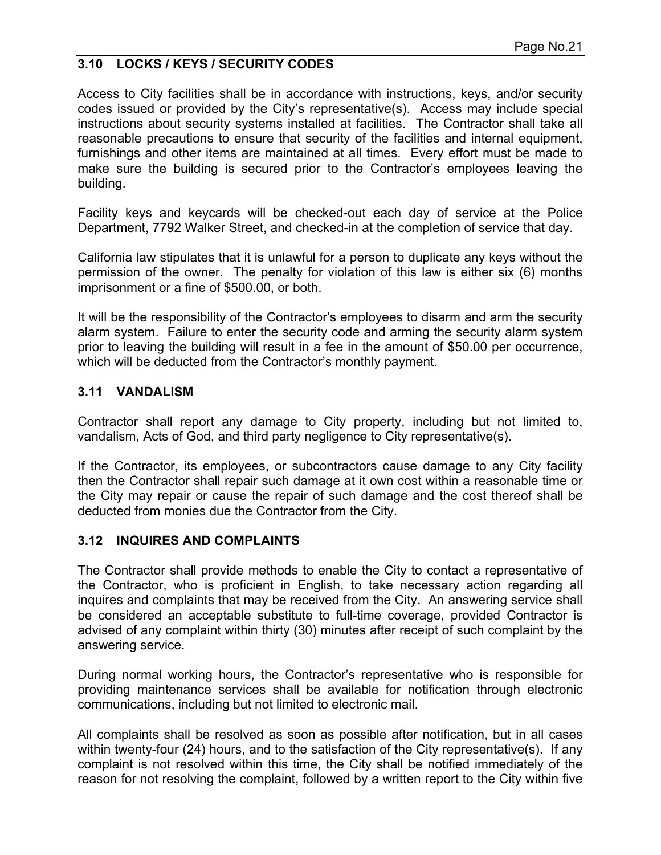## **3.10 LOCKS / KEYS / SECURITY CODES**

Access to City facilities shall be in accordance with instructions, keys, and/or security codes issued or provided by the City's representative(s). Access may include special instructions about security systems installed at facilities. The Contractor shall take all reasonable precautions to ensure that security of the facilities and internal equipment, furnishings and other items are maintained at all times. Every effort must be made to make sure the building is secured prior to the Contractor's employees leaving the building.

Facility keys and keycards will be checked-out each day of service at the Police Department, 7792 Walker Street, and checked-in at the completion of service that day.

California law stipulates that it is unlawful for a person to duplicate any keys without the permission of the owner. The penalty for violation of this law is either six (6) months imprisonment or a fine of \$500.00, or both.

It will be the responsibility of the Contractor's employees to disarm and arm the security alarm system. Failure to enter the security code and arming the security alarm system prior to leaving the building will result in a fee in the amount of \$50.00 per occurrence, which will be deducted from the Contractor's monthly payment.

#### **3.11 VANDALISM**

Contractor shall report any damage to City property, including but not limited to, vandalism, Acts of God, and third party negligence to City representative(s).

If the Contractor, its employees, or subcontractors cause damage to any City facility then the Contractor shall repair such damage at it own cost within a reasonable time or the City may repair or cause the repair of such damage and the cost thereof shall be deducted from monies due the Contractor from the City.

#### **3.12 INQUIRES AND COMPLAINTS**

The Contractor shall provide methods to enable the City to contact a representative of the Contractor, who is proficient in English, to take necessary action regarding all inquires and complaints that may be received from the City. An answering service shall be considered an acceptable substitute to full-time coverage, provided Contractor is advised of any complaint within thirty (30) minutes after receipt of such complaint by the answering service.

During normal working hours, the Contractor's representative who is responsible for providing maintenance services shall be available for notification through electronic communications, including but not limited to electronic mail.

All complaints shall be resolved as soon as possible after notification, but in all cases within twenty-four (24) hours, and to the satisfaction of the City representative(s). If any complaint is not resolved within this time, the City shall be notified immediately of the reason for not resolving the complaint, followed by a written report to the City within five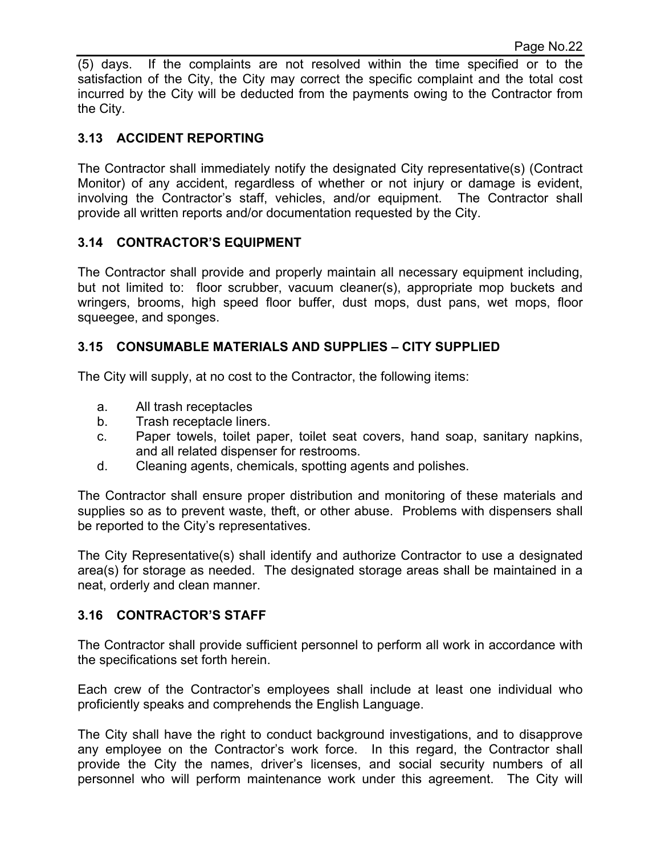(5) days. If the complaints are not resolved within the time specified or to the satisfaction of the City, the City may correct the specific complaint and the total cost incurred by the City will be deducted from the payments owing to the Contractor from the City.

## **3.13 ACCIDENT REPORTING**

The Contractor shall immediately notify the designated City representative(s) (Contract Monitor) of any accident, regardless of whether or not injury or damage is evident, involving the Contractor's staff, vehicles, and/or equipment. The Contractor shall provide all written reports and/or documentation requested by the City.

#### **3.14 CONTRACTOR'S EQUIPMENT**

The Contractor shall provide and properly maintain all necessary equipment including, but not limited to: floor scrubber, vacuum cleaner(s), appropriate mop buckets and wringers, brooms, high speed floor buffer, dust mops, dust pans, wet mops, floor squeegee, and sponges.

#### **3.15 CONSUMABLE MATERIALS AND SUPPLIES – CITY SUPPLIED**

The City will supply, at no cost to the Contractor, the following items:

- a. All trash receptacles
- b. Trash receptacle liners.
- c. Paper towels, toilet paper, toilet seat covers, hand soap, sanitary napkins, and all related dispenser for restrooms.
- d. Cleaning agents, chemicals, spotting agents and polishes.

The Contractor shall ensure proper distribution and monitoring of these materials and supplies so as to prevent waste, theft, or other abuse. Problems with dispensers shall be reported to the City's representatives.

The City Representative(s) shall identify and authorize Contractor to use a designated area(s) for storage as needed. The designated storage areas shall be maintained in a neat, orderly and clean manner.

#### **3.16 CONTRACTOR'S STAFF**

The Contractor shall provide sufficient personnel to perform all work in accordance with the specifications set forth herein.

Each crew of the Contractor's employees shall include at least one individual who proficiently speaks and comprehends the English Language.

The City shall have the right to conduct background investigations, and to disapprove any employee on the Contractor's work force. In this regard, the Contractor shall provide the City the names, driver's licenses, and social security numbers of all personnel who will perform maintenance work under this agreement. The City will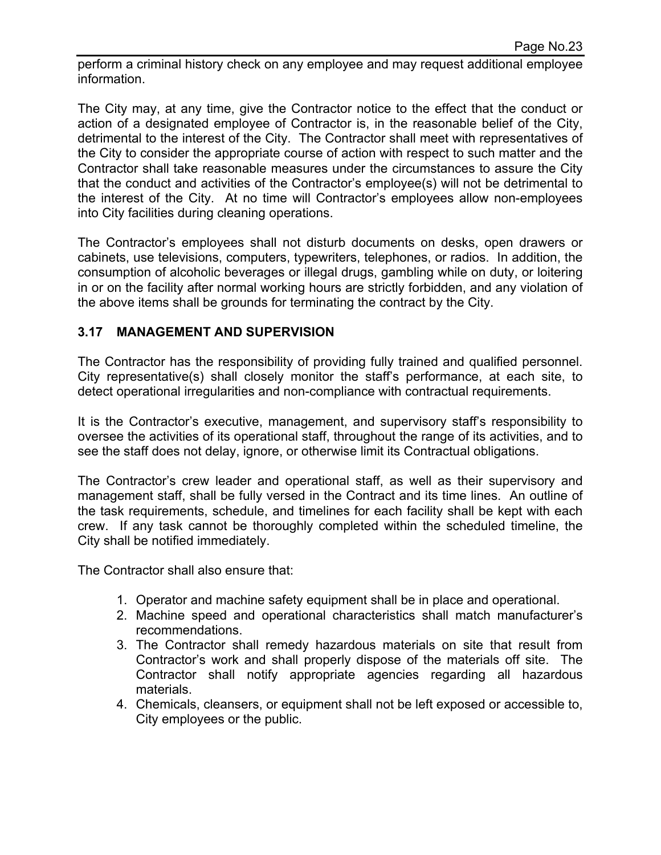perform a criminal history check on any employee and may request additional employee information.

The City may, at any time, give the Contractor notice to the effect that the conduct or action of a designated employee of Contractor is, in the reasonable belief of the City, detrimental to the interest of the City. The Contractor shall meet with representatives of the City to consider the appropriate course of action with respect to such matter and the Contractor shall take reasonable measures under the circumstances to assure the City that the conduct and activities of the Contractor's employee(s) will not be detrimental to the interest of the City. At no time will Contractor's employees allow non-employees into City facilities during cleaning operations.

The Contractor's employees shall not disturb documents on desks, open drawers or cabinets, use televisions, computers, typewriters, telephones, or radios. In addition, the consumption of alcoholic beverages or illegal drugs, gambling while on duty, or loitering in or on the facility after normal working hours are strictly forbidden, and any violation of the above items shall be grounds for terminating the contract by the City.

## **3.17 MANAGEMENT AND SUPERVISION**

The Contractor has the responsibility of providing fully trained and qualified personnel. City representative(s) shall closely monitor the staff's performance, at each site, to detect operational irregularities and non-compliance with contractual requirements.

It is the Contractor's executive, management, and supervisory staff's responsibility to oversee the activities of its operational staff, throughout the range of its activities, and to see the staff does not delay, ignore, or otherwise limit its Contractual obligations.

The Contractor's crew leader and operational staff, as well as their supervisory and management staff, shall be fully versed in the Contract and its time lines. An outline of the task requirements, schedule, and timelines for each facility shall be kept with each crew. If any task cannot be thoroughly completed within the scheduled timeline, the City shall be notified immediately.

The Contractor shall also ensure that:

- 1. Operator and machine safety equipment shall be in place and operational.
- 2. Machine speed and operational characteristics shall match manufacturer's recommendations.
- 3. The Contractor shall remedy hazardous materials on site that result from Contractor's work and shall properly dispose of the materials off site. The Contractor shall notify appropriate agencies regarding all hazardous materials.
- 4. Chemicals, cleansers, or equipment shall not be left exposed or accessible to, City employees or the public.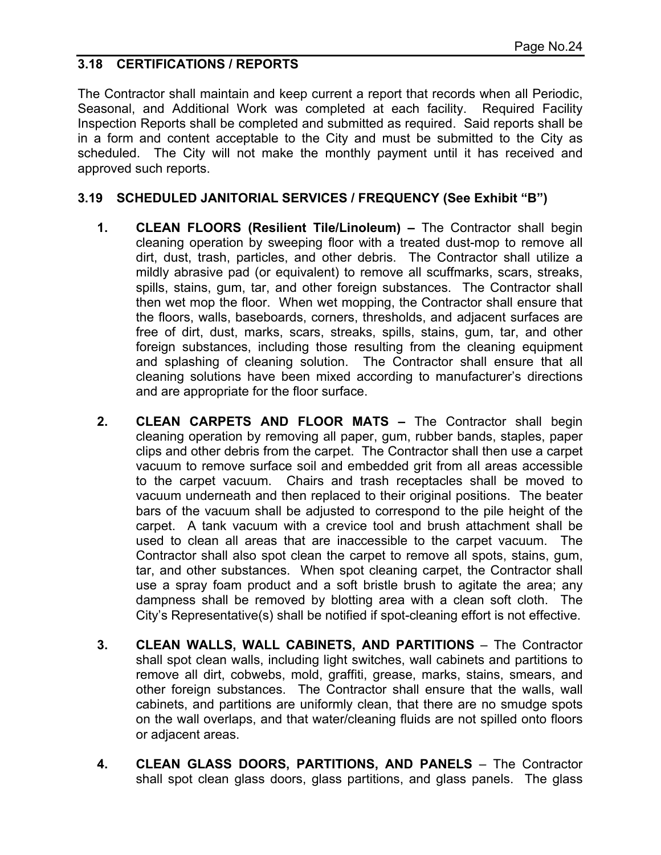#### **3.18 CERTIFICATIONS / REPORTS**

The Contractor shall maintain and keep current a report that records when all Periodic, Seasonal, and Additional Work was completed at each facility. Required Facility Inspection Reports shall be completed and submitted as required. Said reports shall be in a form and content acceptable to the City and must be submitted to the City as scheduled. The City will not make the monthly payment until it has received and approved such reports.

#### **3.19 SCHEDULED JANITORIAL SERVICES / FREQUENCY (See Exhibit "B")**

- **1. CLEAN FLOORS (Resilient Tile/Linoleum)** The Contractor shall begin cleaning operation by sweeping floor with a treated dust-mop to remove all dirt, dust, trash, particles, and other debris. The Contractor shall utilize a mildly abrasive pad (or equivalent) to remove all scuffmarks, scars, streaks, spills, stains, gum, tar, and other foreign substances. The Contractor shall then wet mop the floor. When wet mopping, the Contractor shall ensure that the floors, walls, baseboards, corners, thresholds, and adjacent surfaces are free of dirt, dust, marks, scars, streaks, spills, stains, gum, tar, and other foreign substances, including those resulting from the cleaning equipment and splashing of cleaning solution. The Contractor shall ensure that all cleaning solutions have been mixed according to manufacturer's directions and are appropriate for the floor surface.
- **2. CLEAN CARPETS AND FLOOR MATS –** The Contractor shall begin cleaning operation by removing all paper, gum, rubber bands, staples, paper clips and other debris from the carpet. The Contractor shall then use a carpet vacuum to remove surface soil and embedded grit from all areas accessible to the carpet vacuum. Chairs and trash receptacles shall be moved to vacuum underneath and then replaced to their original positions. The beater bars of the vacuum shall be adjusted to correspond to the pile height of the carpet. A tank vacuum with a crevice tool and brush attachment shall be used to clean all areas that are inaccessible to the carpet vacuum. The Contractor shall also spot clean the carpet to remove all spots, stains, gum, tar, and other substances. When spot cleaning carpet, the Contractor shall use a spray foam product and a soft bristle brush to agitate the area; any dampness shall be removed by blotting area with a clean soft cloth. The City's Representative(s) shall be notified if spot-cleaning effort is not effective.
- **3. CLEAN WALLS, WALL CABINETS, AND PARTITIONS** The Contractor shall spot clean walls, including light switches, wall cabinets and partitions to remove all dirt, cobwebs, mold, graffiti, grease, marks, stains, smears, and other foreign substances. The Contractor shall ensure that the walls, wall cabinets, and partitions are uniformly clean, that there are no smudge spots on the wall overlaps, and that water/cleaning fluids are not spilled onto floors or adjacent areas.
- **4. CLEAN GLASS DOORS, PARTITIONS, AND PANELS** The Contractor shall spot clean glass doors, glass partitions, and glass panels. The glass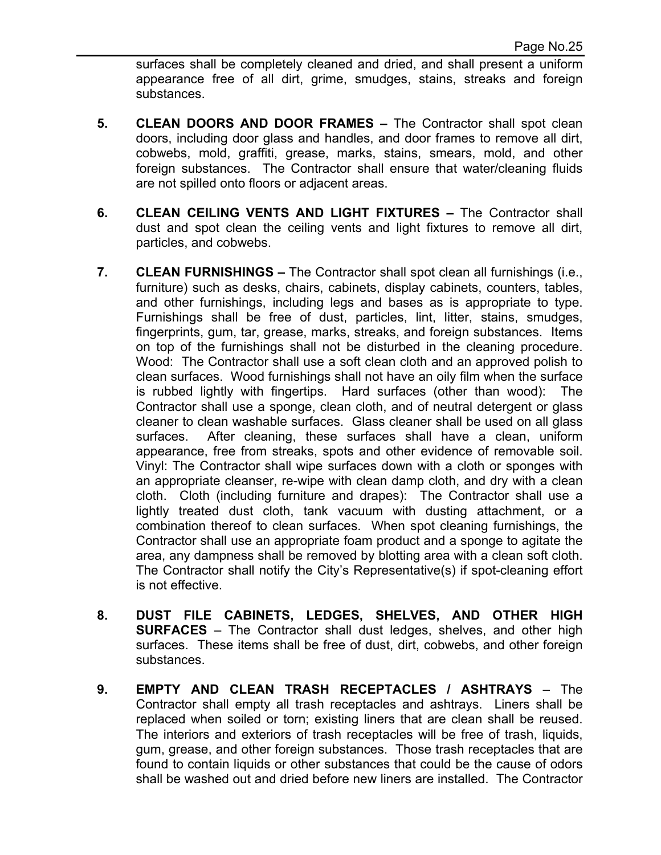surfaces shall be completely cleaned and dried, and shall present a uniform appearance free of all dirt, grime, smudges, stains, streaks and foreign substances.

- **5. CLEAN DOORS AND DOOR FRAMES** The Contractor shall spot clean doors, including door glass and handles, and door frames to remove all dirt, cobwebs, mold, graffiti, grease, marks, stains, smears, mold, and other foreign substances. The Contractor shall ensure that water/cleaning fluids are not spilled onto floors or adjacent areas.
- **6. CLEAN CEILING VENTS AND LIGHT FIXTURES** The Contractor shall dust and spot clean the ceiling vents and light fixtures to remove all dirt, particles, and cobwebs.
- **7. CLEAN FURNISHINGS** The Contractor shall spot clean all furnishings (i.e., furniture) such as desks, chairs, cabinets, display cabinets, counters, tables, and other furnishings, including legs and bases as is appropriate to type. Furnishings shall be free of dust, particles, lint, litter, stains, smudges, fingerprints, gum, tar, grease, marks, streaks, and foreign substances. Items on top of the furnishings shall not be disturbed in the cleaning procedure. Wood: The Contractor shall use a soft clean cloth and an approved polish to clean surfaces. Wood furnishings shall not have an oily film when the surface is rubbed lightly with fingertips. Hard surfaces (other than wood): The Contractor shall use a sponge, clean cloth, and of neutral detergent or glass cleaner to clean washable surfaces. Glass cleaner shall be used on all glass surfaces. After cleaning, these surfaces shall have a clean, uniform appearance, free from streaks, spots and other evidence of removable soil. Vinyl: The Contractor shall wipe surfaces down with a cloth or sponges with an appropriate cleanser, re-wipe with clean damp cloth, and dry with a clean cloth. Cloth (including furniture and drapes): The Contractor shall use a lightly treated dust cloth, tank vacuum with dusting attachment, or a combination thereof to clean surfaces. When spot cleaning furnishings, the Contractor shall use an appropriate foam product and a sponge to agitate the area, any dampness shall be removed by blotting area with a clean soft cloth. The Contractor shall notify the City's Representative(s) if spot-cleaning effort is not effective.
- **8. DUST FILE CABINETS, LEDGES, SHELVES, AND OTHER HIGH SURFACES** – The Contractor shall dust ledges, shelves, and other high surfaces. These items shall be free of dust, dirt, cobwebs, and other foreign substances.
- **9. EMPTY AND CLEAN TRASH RECEPTACLES / ASHTRAYS** The Contractor shall empty all trash receptacles and ashtrays. Liners shall be replaced when soiled or torn; existing liners that are clean shall be reused. The interiors and exteriors of trash receptacles will be free of trash, liquids, gum, grease, and other foreign substances. Those trash receptacles that are found to contain liquids or other substances that could be the cause of odors shall be washed out and dried before new liners are installed. The Contractor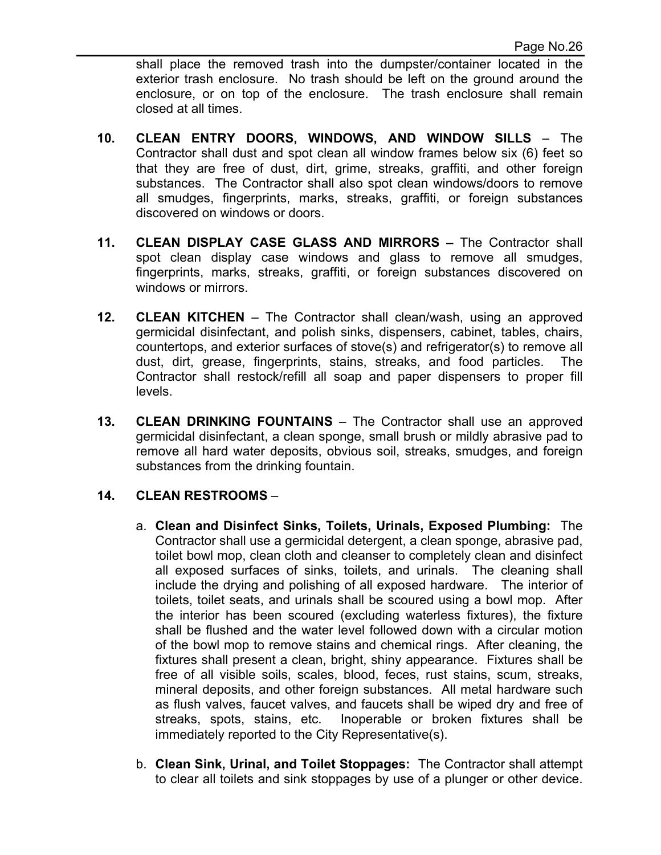shall place the removed trash into the dumpster/container located in the exterior trash enclosure. No trash should be left on the ground around the enclosure, or on top of the enclosure. The trash enclosure shall remain closed at all times.

- **10. CLEAN ENTRY DOORS, WINDOWS, AND WINDOW SILLS**  The Contractor shall dust and spot clean all window frames below six (6) feet so that they are free of dust, dirt, grime, streaks, graffiti, and other foreign substances. The Contractor shall also spot clean windows/doors to remove all smudges, fingerprints, marks, streaks, graffiti, or foreign substances discovered on windows or doors.
- **11. CLEAN DISPLAY CASE GLASS AND MIRRORS** The Contractor shall spot clean display case windows and glass to remove all smudges, fingerprints, marks, streaks, graffiti, or foreign substances discovered on windows or mirrors.
- **12. CLEAN KITCHEN** The Contractor shall clean/wash, using an approved germicidal disinfectant, and polish sinks, dispensers, cabinet, tables, chairs, countertops, and exterior surfaces of stove(s) and refrigerator(s) to remove all dust, dirt, grease, fingerprints, stains, streaks, and food particles. The Contractor shall restock/refill all soap and paper dispensers to proper fill levels.
- **13. CLEAN DRINKING FOUNTAINS** The Contractor shall use an approved germicidal disinfectant, a clean sponge, small brush or mildly abrasive pad to remove all hard water deposits, obvious soil, streaks, smudges, and foreign substances from the drinking fountain.

## **14. CLEAN RESTROOMS** –

- a. **Clean and Disinfect Sinks, Toilets, Urinals, Exposed Plumbing:** The Contractor shall use a germicidal detergent, a clean sponge, abrasive pad, toilet bowl mop, clean cloth and cleanser to completely clean and disinfect all exposed surfaces of sinks, toilets, and urinals. The cleaning shall include the drying and polishing of all exposed hardware. The interior of toilets, toilet seats, and urinals shall be scoured using a bowl mop. After the interior has been scoured (excluding waterless fixtures), the fixture shall be flushed and the water level followed down with a circular motion of the bowl mop to remove stains and chemical rings. After cleaning, the fixtures shall present a clean, bright, shiny appearance. Fixtures shall be free of all visible soils, scales, blood, feces, rust stains, scum, streaks, mineral deposits, and other foreign substances. All metal hardware such as flush valves, faucet valves, and faucets shall be wiped dry and free of streaks, spots, stains, etc. Inoperable or broken fixtures shall be immediately reported to the City Representative(s).
- b. **Clean Sink, Urinal, and Toilet Stoppages:** The Contractor shall attempt to clear all toilets and sink stoppages by use of a plunger or other device.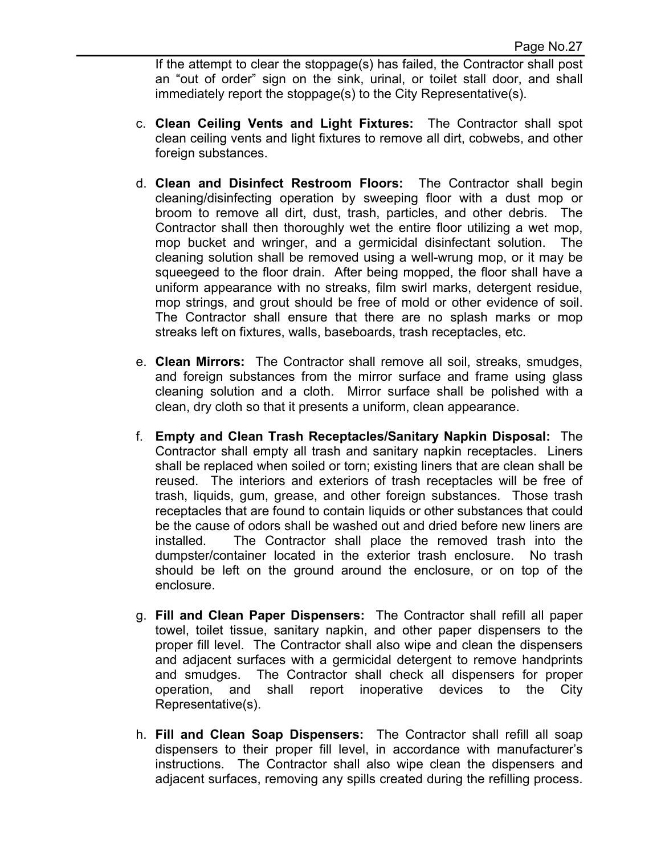If the attempt to clear the stoppage(s) has failed, the Contractor shall post an "out of order" sign on the sink, urinal, or toilet stall door, and shall immediately report the stoppage(s) to the City Representative(s).

- c. **Clean Ceiling Vents and Light Fixtures:** The Contractor shall spot clean ceiling vents and light fixtures to remove all dirt, cobwebs, and other foreign substances.
- d. **Clean and Disinfect Restroom Floors:** The Contractor shall begin cleaning/disinfecting operation by sweeping floor with a dust mop or broom to remove all dirt, dust, trash, particles, and other debris. The Contractor shall then thoroughly wet the entire floor utilizing a wet mop, mop bucket and wringer, and a germicidal disinfectant solution. The cleaning solution shall be removed using a well-wrung mop, or it may be squeegeed to the floor drain. After being mopped, the floor shall have a uniform appearance with no streaks, film swirl marks, detergent residue, mop strings, and grout should be free of mold or other evidence of soil. The Contractor shall ensure that there are no splash marks or mop streaks left on fixtures, walls, baseboards, trash receptacles, etc.
- e. **Clean Mirrors:** The Contractor shall remove all soil, streaks, smudges, and foreign substances from the mirror surface and frame using glass cleaning solution and a cloth. Mirror surface shall be polished with a clean, dry cloth so that it presents a uniform, clean appearance.
- f. **Empty and Clean Trash Receptacles/Sanitary Napkin Disposal:** The Contractor shall empty all trash and sanitary napkin receptacles. Liners shall be replaced when soiled or torn; existing liners that are clean shall be reused. The interiors and exteriors of trash receptacles will be free of trash, liquids, gum, grease, and other foreign substances. Those trash receptacles that are found to contain liquids or other substances that could be the cause of odors shall be washed out and dried before new liners are installed. The Contractor shall place the removed trash into the dumpster/container located in the exterior trash enclosure. No trash should be left on the ground around the enclosure, or on top of the enclosure.
- g. **Fill and Clean Paper Dispensers:** The Contractor shall refill all paper towel, toilet tissue, sanitary napkin, and other paper dispensers to the proper fill level. The Contractor shall also wipe and clean the dispensers and adjacent surfaces with a germicidal detergent to remove handprints and smudges. The Contractor shall check all dispensers for proper operation, and shall report inoperative devices to the City Representative(s).
- h. **Fill and Clean Soap Dispensers:** The Contractor shall refill all soap dispensers to their proper fill level, in accordance with manufacturer's instructions. The Contractor shall also wipe clean the dispensers and adjacent surfaces, removing any spills created during the refilling process.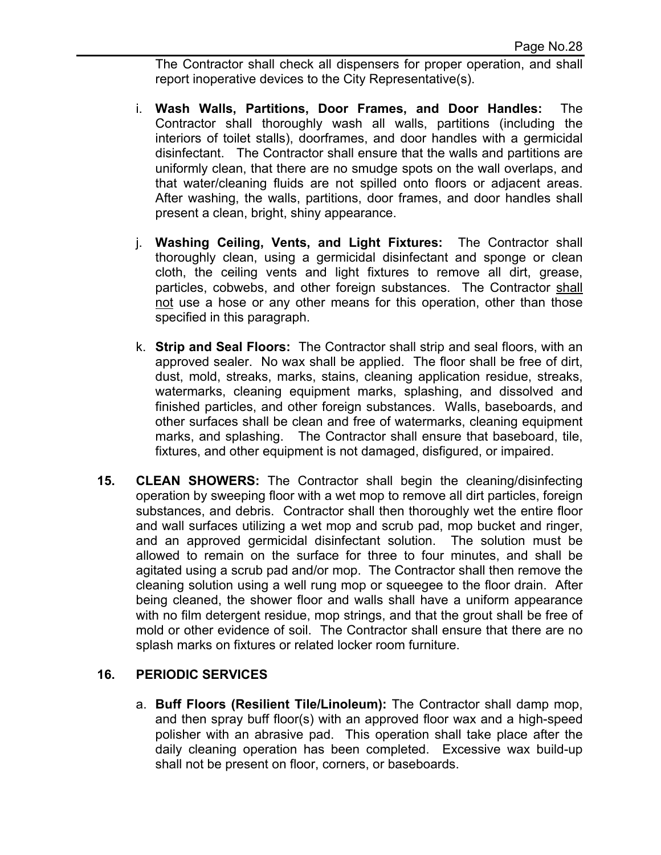The Contractor shall check all dispensers for proper operation, and shall report inoperative devices to the City Representative(s).

- i. **Wash Walls, Partitions, Door Frames, and Door Handles:** The Contractor shall thoroughly wash all walls, partitions (including the interiors of toilet stalls), doorframes, and door handles with a germicidal disinfectant. The Contractor shall ensure that the walls and partitions are uniformly clean, that there are no smudge spots on the wall overlaps, and that water/cleaning fluids are not spilled onto floors or adjacent areas. After washing, the walls, partitions, door frames, and door handles shall present a clean, bright, shiny appearance.
- j. **Washing Ceiling, Vents, and Light Fixtures:** The Contractor shall thoroughly clean, using a germicidal disinfectant and sponge or clean cloth, the ceiling vents and light fixtures to remove all dirt, grease, particles, cobwebs, and other foreign substances. The Contractor shall not use a hose or any other means for this operation, other than those specified in this paragraph.
- k. **Strip and Seal Floors:** The Contractor shall strip and seal floors, with an approved sealer. No wax shall be applied. The floor shall be free of dirt, dust, mold, streaks, marks, stains, cleaning application residue, streaks, watermarks, cleaning equipment marks, splashing, and dissolved and finished particles, and other foreign substances. Walls, baseboards, and other surfaces shall be clean and free of watermarks, cleaning equipment marks, and splashing. The Contractor shall ensure that baseboard, tile, fixtures, and other equipment is not damaged, disfigured, or impaired.
- **15. CLEAN SHOWERS:** The Contractor shall begin the cleaning/disinfecting operation by sweeping floor with a wet mop to remove all dirt particles, foreign substances, and debris. Contractor shall then thoroughly wet the entire floor and wall surfaces utilizing a wet mop and scrub pad, mop bucket and ringer, and an approved germicidal disinfectant solution. The solution must be allowed to remain on the surface for three to four minutes, and shall be agitated using a scrub pad and/or mop. The Contractor shall then remove the cleaning solution using a well rung mop or squeegee to the floor drain. After being cleaned, the shower floor and walls shall have a uniform appearance with no film detergent residue, mop strings, and that the grout shall be free of mold or other evidence of soil. The Contractor shall ensure that there are no splash marks on fixtures or related locker room furniture.

## **16. PERIODIC SERVICES**

a. **Buff Floors (Resilient Tile/Linoleum):** The Contractor shall damp mop, and then spray buff floor(s) with an approved floor wax and a high-speed polisher with an abrasive pad. This operation shall take place after the daily cleaning operation has been completed. Excessive wax build-up shall not be present on floor, corners, or baseboards.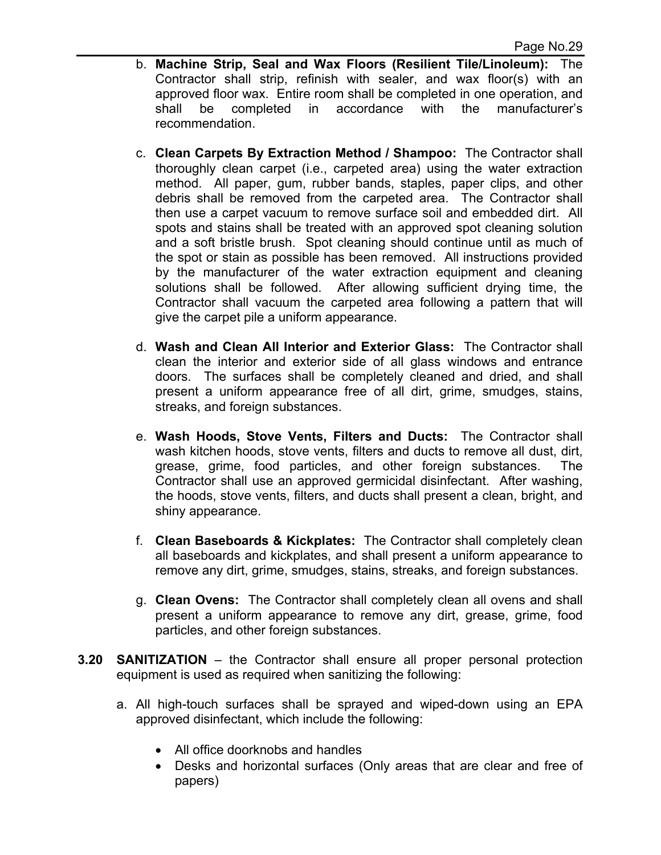- b. **Machine Strip, Seal and Wax Floors (Resilient Tile/Linoleum):** The Contractor shall strip, refinish with sealer, and wax floor(s) with an approved floor wax. Entire room shall be completed in one operation, and shall be completed in accordance with the manufacturer's recommendation.
- c. **Clean Carpets By Extraction Method / Shampoo:** The Contractor shall thoroughly clean carpet (i.e., carpeted area) using the water extraction method. All paper, gum, rubber bands, staples, paper clips, and other debris shall be removed from the carpeted area. The Contractor shall then use a carpet vacuum to remove surface soil and embedded dirt. All spots and stains shall be treated with an approved spot cleaning solution and a soft bristle brush. Spot cleaning should continue until as much of the spot or stain as possible has been removed. All instructions provided by the manufacturer of the water extraction equipment and cleaning solutions shall be followed. After allowing sufficient drying time, the Contractor shall vacuum the carpeted area following a pattern that will give the carpet pile a uniform appearance.
- d. **Wash and Clean All Interior and Exterior Glass:** The Contractor shall clean the interior and exterior side of all glass windows and entrance doors. The surfaces shall be completely cleaned and dried, and shall present a uniform appearance free of all dirt, grime, smudges, stains, streaks, and foreign substances.
- e. **Wash Hoods, Stove Vents, Filters and Ducts:** The Contractor shall wash kitchen hoods, stove vents, filters and ducts to remove all dust, dirt, grease, grime, food particles, and other foreign substances. The Contractor shall use an approved germicidal disinfectant. After washing, the hoods, stove vents, filters, and ducts shall present a clean, bright, and shiny appearance.
- f. **Clean Baseboards & Kickplates:** The Contractor shall completely clean all baseboards and kickplates, and shall present a uniform appearance to remove any dirt, grime, smudges, stains, streaks, and foreign substances.
- g. **Clean Ovens:** The Contractor shall completely clean all ovens and shall present a uniform appearance to remove any dirt, grease, grime, food particles, and other foreign substances.
- **3.20 SANITIZATION**  the Contractor shall ensure all proper personal protection equipment is used as required when sanitizing the following:
	- a. All high-touch surfaces shall be sprayed and wiped-down using an EPA approved disinfectant, which include the following:
		- All office doorknobs and handles
		- Desks and horizontal surfaces (Only areas that are clear and free of papers)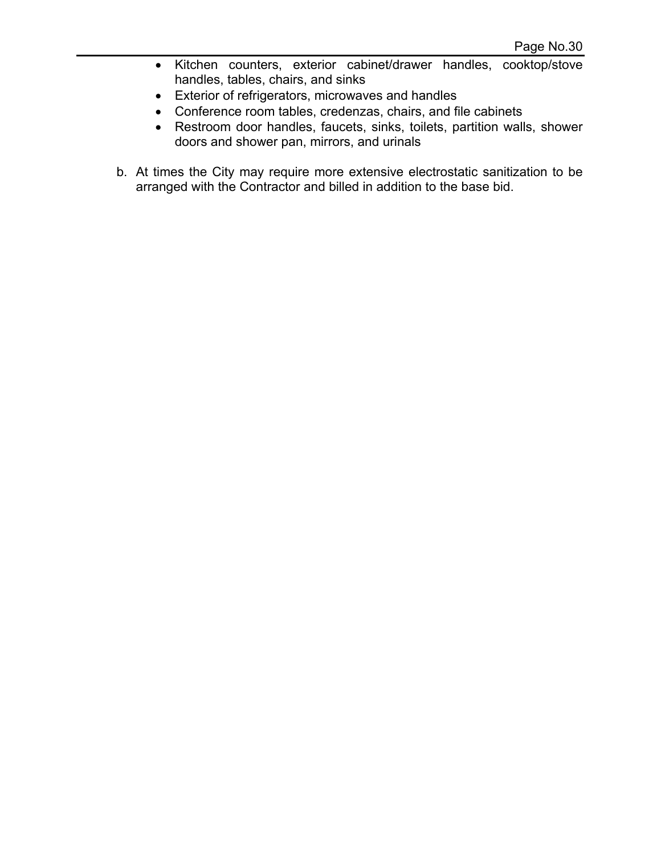- Kitchen counters, exterior cabinet/drawer handles, cooktop/stove handles, tables, chairs, and sinks
- Exterior of refrigerators, microwaves and handles
- Conference room tables, credenzas, chairs, and file cabinets
- Restroom door handles, faucets, sinks, toilets, partition walls, shower doors and shower pan, mirrors, and urinals
- b. At times the City may require more extensive electrostatic sanitization to be arranged with the Contractor and billed in addition to the base bid.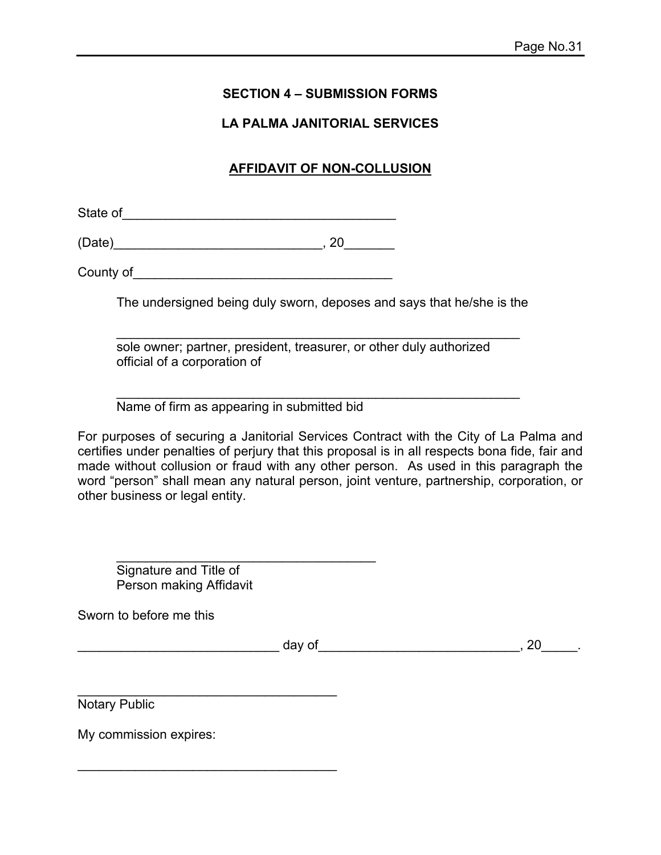## **SECTION 4 – SUBMISSION FORMS**

#### **LA PALMA JANITORIAL SERVICES**

## **AFFIDAVIT OF NON-COLLUSION**

State of\_\_\_\_\_\_\_\_\_\_\_\_\_\_\_\_\_\_\_\_\_\_\_\_\_\_\_\_\_\_\_\_\_\_\_\_\_\_

(Date)\_\_\_\_\_\_\_\_\_\_\_\_\_\_\_\_\_\_\_\_\_\_\_\_\_\_\_\_\_, 20\_\_\_\_\_\_\_

County of\_\_\_\_\_\_\_\_\_\_\_\_\_\_\_\_\_\_\_\_\_\_\_\_\_\_\_\_\_\_\_\_\_\_\_\_

The undersigned being duly sworn, deposes and says that he/she is the

 sole owner; partner, president, treasurer, or other duly authorized official of a corporation of

\_\_\_\_\_\_\_\_\_\_\_\_\_\_\_\_\_\_\_\_\_\_\_\_\_\_\_\_\_\_\_\_\_\_\_\_\_\_\_\_\_\_\_\_\_\_\_\_\_\_\_\_\_\_\_\_

 $\mathcal{L}_\text{max} = \frac{1}{2} \sum_{i=1}^{n} \frac{1}{2} \sum_{i=1}^{n} \frac{1}{2} \sum_{i=1}^{n} \frac{1}{2} \sum_{i=1}^{n} \frac{1}{2} \sum_{i=1}^{n} \frac{1}{2} \sum_{i=1}^{n} \frac{1}{2} \sum_{i=1}^{n} \frac{1}{2} \sum_{i=1}^{n} \frac{1}{2} \sum_{i=1}^{n} \frac{1}{2} \sum_{i=1}^{n} \frac{1}{2} \sum_{i=1}^{n} \frac{1}{2} \sum_{i=1}^{n} \frac{1$ Name of firm as appearing in submitted bid

 $\mathcal{L}_\text{max}$  , and the set of the set of the set of the set of the set of the set of the set of the set of the set of the set of the set of the set of the set of the set of the set of the set of the set of the set of the

 $\mathcal{L}_\text{max}$  , and the set of the set of the set of the set of the set of the set of the set of the set of the set of the set of the set of the set of the set of the set of the set of the set of the set of the set of the

 $\mathcal{L}_\text{max}$  , and the set of the set of the set of the set of the set of the set of the set of the set of the set of the set of the set of the set of the set of the set of the set of the set of the set of the set of the

For purposes of securing a Janitorial Services Contract with the City of La Palma and certifies under penalties of perjury that this proposal is in all respects bona fide, fair and made without collusion or fraud with any other person. As used in this paragraph the word "person" shall mean any natural person, joint venture, partnership, corporation, or other business or legal entity.

 Signature and Title of Person making Affidavit

Sworn to before me this

 $\Delta$  day of  $\Delta$  and  $\Delta$  and  $\Delta$  and  $\Delta$  and  $\Delta$  and  $\Delta$  and  $\Delta$  and  $\Delta$  and  $\Delta$  and  $\Delta$  and  $\Delta$  and  $\Delta$  and  $\Delta$  and  $\Delta$  and  $\Delta$  and  $\Delta$  and  $\Delta$  and  $\Delta$  and  $\Delta$  and  $\Delta$  and  $\Delta$  and  $\Delta$  and  $\Delta$  and  $\$ 

Notary Public

My commission expires: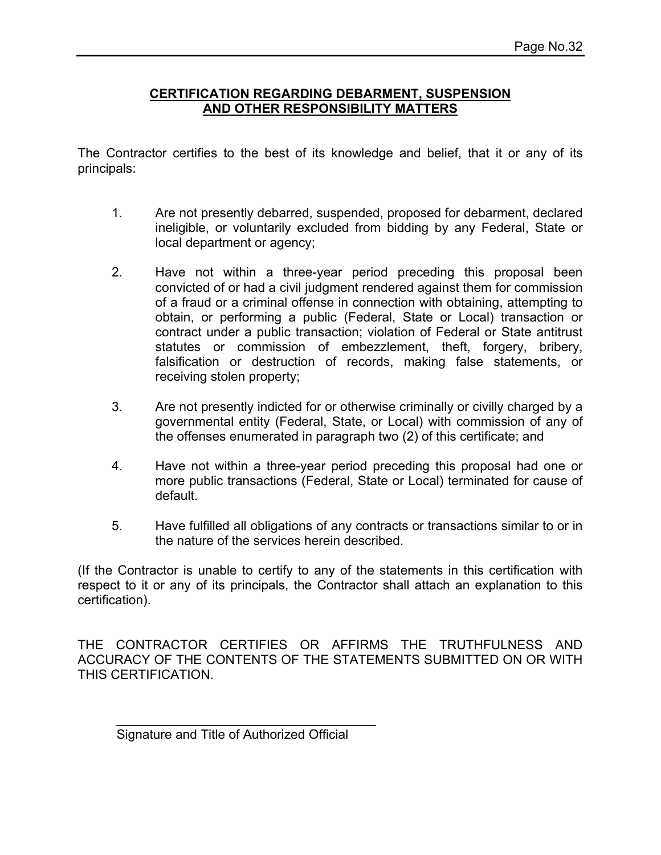#### **CERTIFICATION REGARDING DEBARMENT, SUSPENSION AND OTHER RESPONSIBILITY MATTERS**

The Contractor certifies to the best of its knowledge and belief, that it or any of its principals:

- 1. Are not presently debarred, suspended, proposed for debarment, declared ineligible, or voluntarily excluded from bidding by any Federal, State or local department or agency;
- 2. Have not within a three-year period preceding this proposal been convicted of or had a civil judgment rendered against them for commission of a fraud or a criminal offense in connection with obtaining, attempting to obtain, or performing a public (Federal, State or Local) transaction or contract under a public transaction; violation of Federal or State antitrust statutes or commission of embezzlement, theft, forgery, bribery, falsification or destruction of records, making false statements, or receiving stolen property;
- 3. Are not presently indicted for or otherwise criminally or civilly charged by a governmental entity (Federal, State, or Local) with commission of any of the offenses enumerated in paragraph two (2) of this certificate; and
- 4. Have not within a three-year period preceding this proposal had one or more public transactions (Federal, State or Local) terminated for cause of default.
- 5. Have fulfilled all obligations of any contracts or transactions similar to or in the nature of the services herein described.

(If the Contractor is unable to certify to any of the statements in this certification with respect to it or any of its principals, the Contractor shall attach an explanation to this certification).

THE CONTRACTOR CERTIFIES OR AFFIRMS THE TRUTHFULNESS AND ACCURACY OF THE CONTENTS OF THE STATEMENTS SUBMITTED ON OR WITH THIS CERTIFICATION.

Signature and Title of Authorized Official

 $\mathcal{L}_\text{max}$  , and the set of the set of the set of the set of the set of the set of the set of the set of the set of the set of the set of the set of the set of the set of the set of the set of the set of the set of the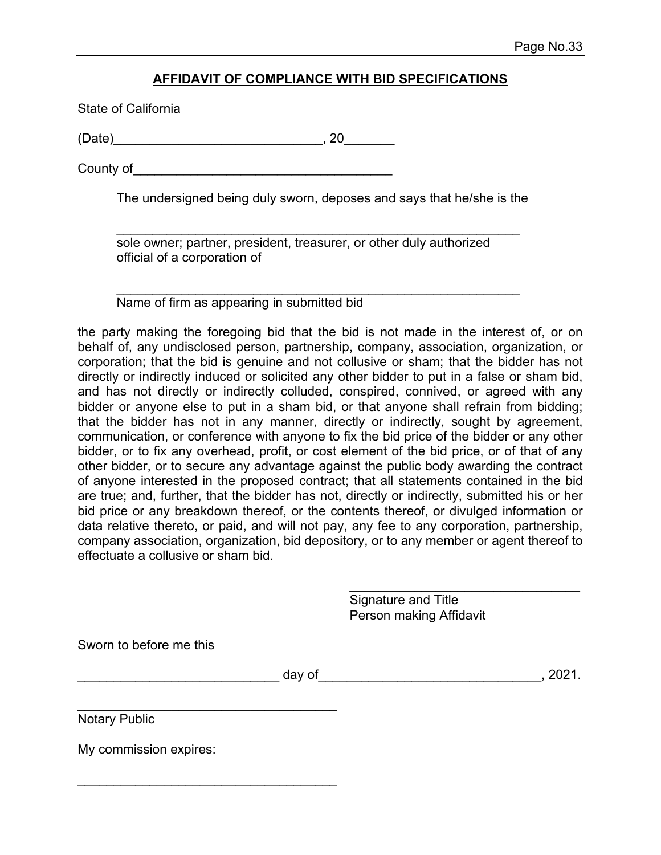#### **AFFIDAVIT OF COMPLIANCE WITH BID SPECIFICATIONS**

State of California

(Date)\_\_\_\_\_\_\_\_\_\_\_\_\_\_\_\_\_\_\_\_\_\_\_\_\_\_\_\_\_, 20\_\_\_\_\_\_\_

County of

The undersigned being duly sworn, deposes and says that he/she is the

 $\mathcal{L}_\text{max} = \frac{1}{2} \sum_{i=1}^{n} \frac{1}{2} \sum_{i=1}^{n} \frac{1}{2} \sum_{i=1}^{n} \frac{1}{2} \sum_{i=1}^{n} \frac{1}{2} \sum_{i=1}^{n} \frac{1}{2} \sum_{i=1}^{n} \frac{1}{2} \sum_{i=1}^{n} \frac{1}{2} \sum_{i=1}^{n} \frac{1}{2} \sum_{i=1}^{n} \frac{1}{2} \sum_{i=1}^{n} \frac{1}{2} \sum_{i=1}^{n} \frac{1}{2} \sum_{i=1}^{n} \frac{1$  sole owner; partner, president, treasurer, or other duly authorized official of a corporation of

 \_\_\_\_\_\_\_\_\_\_\_\_\_\_\_\_\_\_\_\_\_\_\_\_\_\_\_\_\_\_\_\_\_\_\_\_\_\_\_\_\_\_\_\_\_\_\_\_\_\_\_\_\_\_\_\_ Name of firm as appearing in submitted bid

the party making the foregoing bid that the bid is not made in the interest of, or on behalf of, any undisclosed person, partnership, company, association, organization, or corporation; that the bid is genuine and not collusive or sham; that the bidder has not directly or indirectly induced or solicited any other bidder to put in a false or sham bid, and has not directly or indirectly colluded, conspired, connived, or agreed with any bidder or anyone else to put in a sham bid, or that anyone shall refrain from bidding; that the bidder has not in any manner, directly or indirectly, sought by agreement, communication, or conference with anyone to fix the bid price of the bidder or any other bidder, or to fix any overhead, profit, or cost element of the bid price, or of that of any other bidder, or to secure any advantage against the public body awarding the contract of anyone interested in the proposed contract; that all statements contained in the bid are true; and, further, that the bidder has not, directly or indirectly, submitted his or her bid price or any breakdown thereof, or the contents thereof, or divulged information or data relative thereto, or paid, and will not pay, any fee to any corporation, partnership, company association, organization, bid depository, or to any member or agent thereof to effectuate a collusive or sham bid.

> Signature and Title Person making Affidavit

\_\_\_\_\_\_\_\_\_\_\_\_\_\_\_\_\_\_\_\_\_\_\_\_\_\_\_\_\_\_\_\_

Sworn to before me this

\_\_\_\_\_\_\_\_\_\_\_\_\_\_\_\_\_\_\_\_\_\_\_\_\_\_\_\_ day of\_\_\_\_\_\_\_\_\_\_\_\_\_\_\_\_\_\_\_\_\_\_\_\_\_\_\_\_\_\_\_, 2021.

\_\_\_\_\_\_\_\_\_\_\_\_\_\_\_\_\_\_\_\_\_\_\_\_\_\_\_\_\_\_\_\_\_\_\_\_ Notary Public

My commission expires:

\_\_\_\_\_\_\_\_\_\_\_\_\_\_\_\_\_\_\_\_\_\_\_\_\_\_\_\_\_\_\_\_\_\_\_\_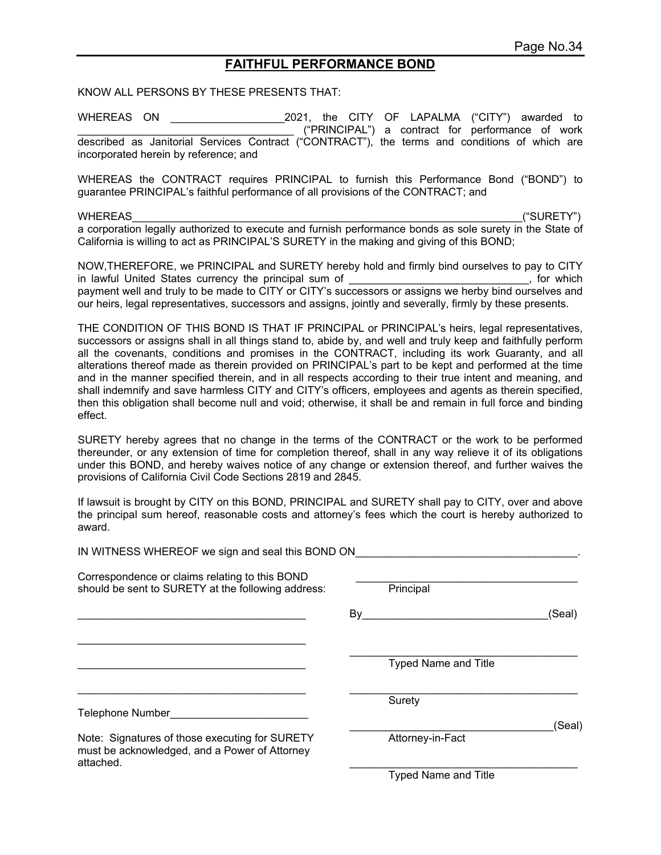#### **FAITHFUL PERFORMANCE BOND**

KNOW ALL PERSONS BY THESE PRESENTS THAT:

WHEREAS ON \_\_\_\_\_\_\_\_\_\_\_\_\_\_\_\_\_\_\_2021, the CITY OF LAPALMA ("CITY") awarded to \_\_\_\_\_\_\_\_\_\_\_\_\_\_\_\_\_\_\_\_\_\_\_\_\_\_\_\_\_\_\_\_\_\_\_\_ ("PRINCIPAL") a contract for performance of work described as Janitorial Services Contract ("CONTRACT"), the terms and conditions of which are incorporated herein by reference; and

WHEREAS the CONTRACT requires PRINCIPAL to furnish this Performance Bond ("BOND") to guarantee PRINCIPAL's faithful performance of all provisions of the CONTRACT; and

WHEREAS ("SURETY") a corporation legally authorized to execute and furnish performance bonds as sole surety in the State of California is willing to act as PRINCIPAL'S SURETY in the making and giving of this BOND;

NOW,THEREFORE, we PRINCIPAL and SURETY hereby hold and firmly bind ourselves to pay to CITY in lawful United States currency the principal sum of **Exercise 20** and the principal sum of the states of the sta payment well and truly to be made to CITY or CITY's successors or assigns we herby bind ourselves and our heirs, legal representatives, successors and assigns, jointly and severally, firmly by these presents.

THE CONDITION OF THIS BOND IS THAT IF PRINCIPAL or PRINCIPAL's heirs, legal representatives, successors or assigns shall in all things stand to, abide by, and well and truly keep and faithfully perform all the covenants, conditions and promises in the CONTRACT, including its work Guaranty, and all alterations thereof made as therein provided on PRINCIPAL's part to be kept and performed at the time and in the manner specified therein, and in all respects according to their true intent and meaning, and shall indemnify and save harmless CITY and CITY's officers, employees and agents as therein specified, then this obligation shall become null and void; otherwise, it shall be and remain in full force and binding effect.

SURETY hereby agrees that no change in the terms of the CONTRACT or the work to be performed thereunder, or any extension of time for completion thereof, shall in any way relieve it of its obligations under this BOND, and hereby waives notice of any change or extension thereof, and further waives the provisions of California Civil Code Sections 2819 and 2845.

If lawsuit is brought by CITY on this BOND, PRINCIPAL and SURETY shall pay to CITY, over and above the principal sum hereof, reasonable costs and attorney's fees which the court is hereby authorized to award.

IN WITNESS WHEREOF we sign and seal this BOND ON Correspondence or claims relating to this BOND<br>
should be sent to SURETY at the following address: Principal should be sent to SURETY at the following address:  $By$  (Seal) \_\_\_\_\_\_\_\_\_\_\_\_\_\_\_\_\_\_\_\_\_\_\_\_\_\_\_\_\_\_\_\_\_\_\_\_\_\_ \_\_\_\_\_\_\_\_\_\_\_\_\_\_\_\_\_\_\_\_\_\_\_\_\_\_\_\_\_\_\_\_\_\_\_\_\_\_ Typed Name and Title Surety and the contract of the Surety Surety of the Surety of the Surety of the Surety of the Surety of the Su Telephone Number\_\_\_\_\_\_\_\_\_\_\_\_\_\_\_\_\_\_\_\_\_\_\_ \_\_\_\_\_\_\_\_\_\_\_\_\_\_\_\_\_\_\_\_\_\_\_\_\_\_\_\_\_\_\_\_\_\_(Seal) Note: Signatures of those executing for SURETY Attorney-in-Fact must be acknowledged, and a Power of Attorney attached.  $\blacksquare$ Typed Name and Title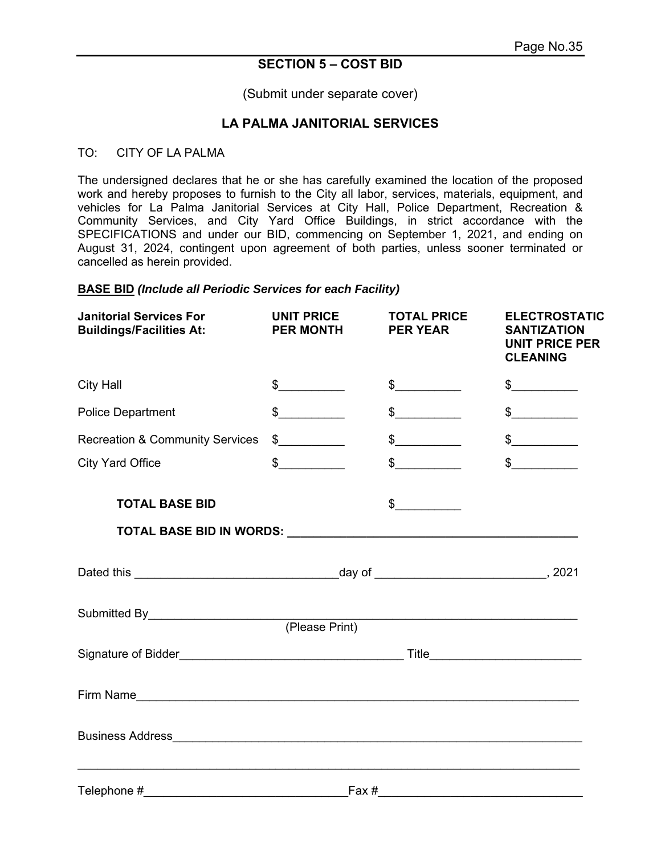#### **SECTION 5 – COST BID**

(Submit under separate cover)

#### **LA PALMA JANITORIAL SERVICES**

#### TO: CITY OF LA PALMA

The undersigned declares that he or she has carefully examined the location of the proposed work and hereby proposes to furnish to the City all labor, services, materials, equipment, and vehicles for La Palma Janitorial Services at City Hall, Police Department, Recreation & Community Services, and City Yard Office Buildings, in strict accordance with the SPECIFICATIONS and under our BID, commencing on September 1, 2021, and ending on August 31, 2024, contingent upon agreement of both parties, unless sooner terminated or cancelled as herein provided.

#### **BASE BID** *(Include all Periodic Services for each Facility)*

| <b>Janitorial Services For</b><br><b>Buildings/Facilities At:</b> | <b>UNIT PRICE</b><br><b>PER MONTH</b> | <b>TOTAL PRICE</b><br><b>PER YEAR</b> | <b>ELECTROSTATIC</b><br><b>SANTIZATION</b><br><b>UNIT PRICE PER</b><br><b>CLEANING</b> |  |
|-------------------------------------------------------------------|---------------------------------------|---------------------------------------|----------------------------------------------------------------------------------------|--|
| <b>City Hall</b>                                                  | $\frac{1}{2}$                         | $\frac{1}{2}$                         | $\frac{1}{2}$                                                                          |  |
| <b>Police Department</b>                                          | $\frac{1}{2}$                         | $\frac{1}{2}$                         | $\frac{1}{2}$                                                                          |  |
| <b>Recreation &amp; Community Services</b>                        | $\frac{1}{2}$                         | $\frac{1}{2}$                         | $\frac{1}{2}$                                                                          |  |
| <b>City Yard Office</b>                                           | $\frac{1}{2}$                         | $\frac{1}{\sqrt{2}}$                  | $\frac{1}{2}$                                                                          |  |
| <b>TOTAL BASE BID</b>                                             |                                       | $\frac{1}{\sqrt{2}}$                  |                                                                                        |  |
|                                                                   |                                       |                                       |                                                                                        |  |
|                                                                   |                                       |                                       |                                                                                        |  |
| Submitted By (Please Print)                                       |                                       |                                       |                                                                                        |  |
|                                                                   |                                       |                                       |                                                                                        |  |
|                                                                   |                                       |                                       |                                                                                        |  |
|                                                                   |                                       |                                       |                                                                                        |  |
|                                                                   |                                       |                                       |                                                                                        |  |
| Telephone #                                                       | Fax#                                  |                                       |                                                                                        |  |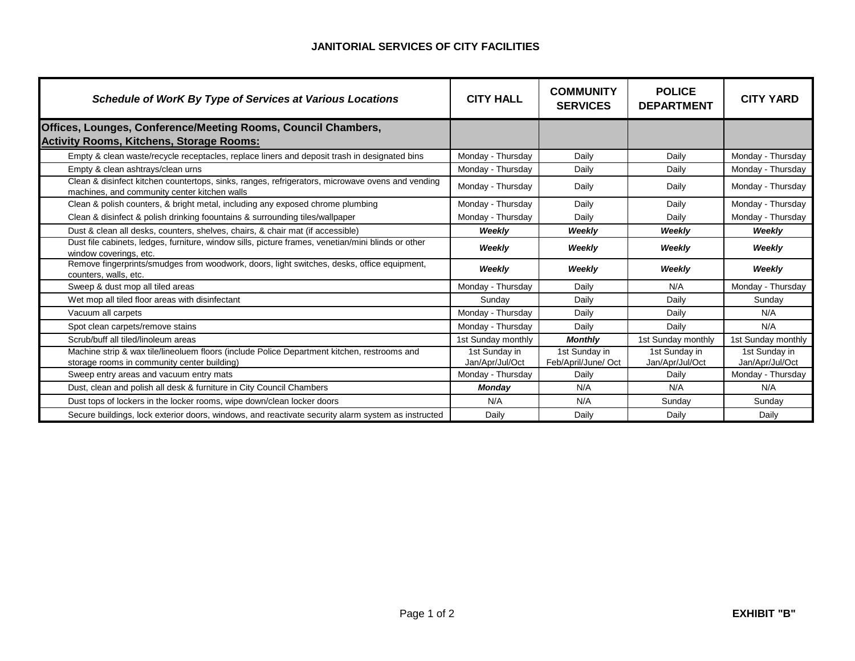#### **JANITORIAL SERVICES OF CITY FACILITIES**

| <b>Schedule of WorK By Type of Services at Various Locations</b>                                                                                 | <b>CITY HALL</b>                 | <b>COMMUNITY</b><br><b>SERVICES</b>  | <b>POLICE</b><br><b>DEPARTMENT</b> | <b>CITY YARD</b>                 |
|--------------------------------------------------------------------------------------------------------------------------------------------------|----------------------------------|--------------------------------------|------------------------------------|----------------------------------|
| Offices, Lounges, Conference/Meeting Rooms, Council Chambers,<br><b>Activity Rooms, Kitchens, Storage Rooms:</b>                                 |                                  |                                      |                                    |                                  |
| Empty & clean waste/recycle receptacles, replace liners and deposit trash in designated bins                                                     | Monday - Thursday                | Daily                                | Daily                              | Monday - Thursday                |
| Empty & clean ashtrays/clean urns                                                                                                                | Monday - Thursday                | Daily                                | Daily                              | Monday - Thursday                |
| Clean & disinfect kitchen countertops, sinks, ranges, refrigerators, microwave ovens and vending<br>machines, and community center kitchen walls | Monday - Thursday                | Daily                                | Daily                              | Monday - Thursday                |
| Clean & polish counters, & bright metal, including any exposed chrome plumbing                                                                   | Monday - Thursday                | Daily                                | Daily                              | Monday - Thursday                |
| Clean & disinfect & polish drinking foountains & surrounding tiles/wallpaper                                                                     | Monday - Thursday                | Daily                                | Daily                              | Monday - Thursday                |
| Dust & clean all desks, counters, shelves, chairs, & chair mat (if accessible)                                                                   | Weekly                           | Weekly                               | Weekly                             | Weekly                           |
| Dust file cabinets, ledges, furniture, window sills, picture frames, venetian/mini blinds or other<br>window coverings, etc.                     | Weekly                           | Weekly                               | Weekly                             | Weekly                           |
| Remove fingerprints/smudges from woodwork, doors, light switches, desks, office equipment,<br>counters, walls, etc.                              | Weekly                           | Weekly                               | Weekly                             | Weekly                           |
| Sweep & dust mop all tiled areas                                                                                                                 | Monday - Thursday                | Daily                                | N/A                                | Monday - Thursday                |
| Wet mop all tiled floor areas with disinfectant                                                                                                  | Sunday                           | Daily                                | Daily                              | Sunday                           |
| Vacuum all carpets                                                                                                                               | Monday - Thursday                | Daily                                | Daily                              | N/A                              |
| Spot clean carpets/remove stains                                                                                                                 | Monday - Thursday                | Daily                                | Daily                              | N/A                              |
| Scrub/buff all tiled/linoleum areas                                                                                                              | 1st Sunday monthly               | <b>Monthly</b>                       | 1st Sunday monthly                 | 1st Sunday monthly               |
| Machine strip & wax tile/lineoluem floors (include Police Department kitchen, restrooms and<br>storage rooms in community center building)       | 1st Sunday in<br>Jan/Apr/Jul/Oct | 1st Sunday in<br>Feb/April/June/ Oct | 1st Sunday in<br>Jan/Apr/Jul/Oct   | 1st Sunday in<br>Jan/Apr/Jul/Oct |
| Sweep entry areas and vacuum entry mats                                                                                                          | Monday - Thursday                | Daily                                | Daily                              | Monday - Thursday                |
| Dust, clean and polish all desk & furniture in City Council Chambers                                                                             | Monday                           | N/A                                  | N/A                                | N/A                              |
| Dust tops of lockers in the locker rooms, wipe down/clean locker doors                                                                           | N/A                              | N/A                                  | Sunday                             | Sunday                           |
| Secure buildings, lock exterior doors, windows, and reactivate security alarm system as instructed                                               | Daily                            | Daily                                | Daily                              | Daily                            |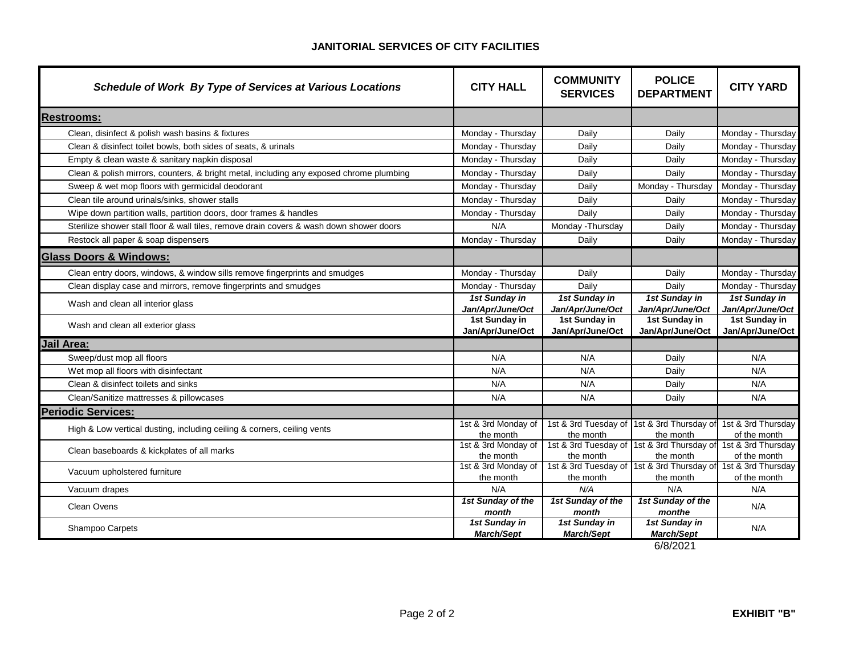#### **JANITORIAL SERVICES OF CITY FACILITIES**

| <b>Schedule of Work By Type of Services at Various Locations</b>                        | <b>CITY HALL</b>                   | <b>COMMUNITY</b><br><b>SERVICES</b> | <b>POLICE</b><br><b>DEPARTMENT</b>            | <b>CITY YARD</b>                   |
|-----------------------------------------------------------------------------------------|------------------------------------|-------------------------------------|-----------------------------------------------|------------------------------------|
| <b>Restrooms:</b>                                                                       |                                    |                                     |                                               |                                    |
| Clean, disinfect & polish wash basins & fixtures                                        | Monday - Thursday                  | Daily                               | Daily                                         | Monday - Thursday                  |
| Clean & disinfect toilet bowls, both sides of seats, & urinals                          | Monday - Thursday                  | Daily                               | Daily                                         | Monday - Thursday                  |
| Empty & clean waste & sanitary napkin disposal                                          | Monday - Thursday                  | Daily                               | Daily                                         | Monday - Thursday                  |
| Clean & polish mirrors, counters, & bright metal, including any exposed chrome plumbing | Monday - Thursday                  | Daily                               | Daily                                         | Monday - Thursday                  |
| Sweep & wet mop floors with germicidal deodorant                                        | Monday - Thursday                  | Daily                               | Monday - Thursday                             | Monday - Thursday                  |
| Clean tile around urinals/sinks, shower stalls                                          | Monday - Thursday                  | Daily                               | Daily                                         | Monday - Thursday                  |
| Wipe down partition walls, partition doors, door frames & handles                       | Monday - Thursday                  | Daily                               | Daily                                         | Monday - Thursday                  |
| Sterilize shower stall floor & wall tiles, remove drain covers & wash down shower doors | N/A                                | Monday - Thursday                   | Daily                                         | Monday - Thursday                  |
| Restock all paper & soap dispensers                                                     | Monday - Thursday                  | Daily                               | Daily                                         | Monday - Thursday                  |
| <b>Glass Doors &amp; Windows:</b>                                                       |                                    |                                     |                                               |                                    |
| Clean entry doors, windows, & window sills remove fingerprints and smudges              | Monday - Thursday                  | Daily                               | Daily                                         | Monday - Thursday                  |
| Clean display case and mirrors, remove fingerprints and smudges                         | Monday - Thursday                  | Daily                               | Daily                                         | Monday - Thursday                  |
| Wash and clean all interior glass                                                       | 1st Sunday in<br>Jan/Apr/June/Oct  | 1st Sunday in<br>Jan/Apr/June/Oct   | 1st Sunday in<br>Jan/Apr/June/Oct             | 1st Sunday in<br>Jan/Apr/June/Oct  |
| Wash and clean all exterior glass                                                       | 1st Sunday in<br>Jan/Apr/June/Oct  | 1st Sunday in<br>Jan/Apr/June/Oct   | 1st Sunday in<br>Jan/Apr/June/Oct             | 1st Sunday in<br>Jan/Apr/June/Oct  |
| Jail Area:                                                                              |                                    |                                     |                                               |                                    |
| Sweep/dust mop all floors                                                               | N/A                                | N/A                                 | Daily                                         | N/A                                |
| Wet mop all floors with disinfectant                                                    | N/A                                | N/A                                 | Daily                                         | N/A                                |
| Clean & disinfect toilets and sinks                                                     | N/A                                | N/A                                 | Daily                                         | N/A                                |
| Clean/Sanitize mattresses & pillowcases                                                 | N/A                                | N/A                                 | Daily                                         | N/A                                |
| <b>Periodic Services:</b>                                                               |                                    |                                     |                                               |                                    |
| High & Low vertical dusting, including ceiling & corners, ceiling vents                 | 1st & 3rd Monday of                | 1st & 3rd Tuesday of                | 1st & 3rd Thursday of 1st & 3rd Thursday      |                                    |
|                                                                                         | the month                          | the month                           | the month<br>1st & 3rd Thursday of            | of the month                       |
| Clean baseboards & kickplates of all marks                                              | 1st & 3rd Monday of<br>the month   | 1st & 3rd Tuesday of<br>the month   | the month                                     | 1st & 3rd Thursday<br>of the month |
| Vacuum upholstered furniture                                                            | 1st & 3rd Monday of                | 1st & 3rd Tuesday of                | 1st & 3rd Thursday of 1st & 3rd Thursday      |                                    |
|                                                                                         | the month                          | the month                           | the month                                     | of the month                       |
| Vacuum drapes                                                                           | N/A                                | N/A                                 | N/A                                           | N/A                                |
| Clean Ovens                                                                             | 1st Sunday of the<br>month         | 1st Sunday of the<br>month          | 1st Sunday of the<br>monthe                   | N/A                                |
| Shampoo Carpets                                                                         | 1st Sunday in<br><b>March/Sept</b> | 1st Sunday in<br><b>March/Sept</b>  | 1st Sunday in<br><b>March/Sept</b><br>C/0/001 | N/A                                |

6/8/2021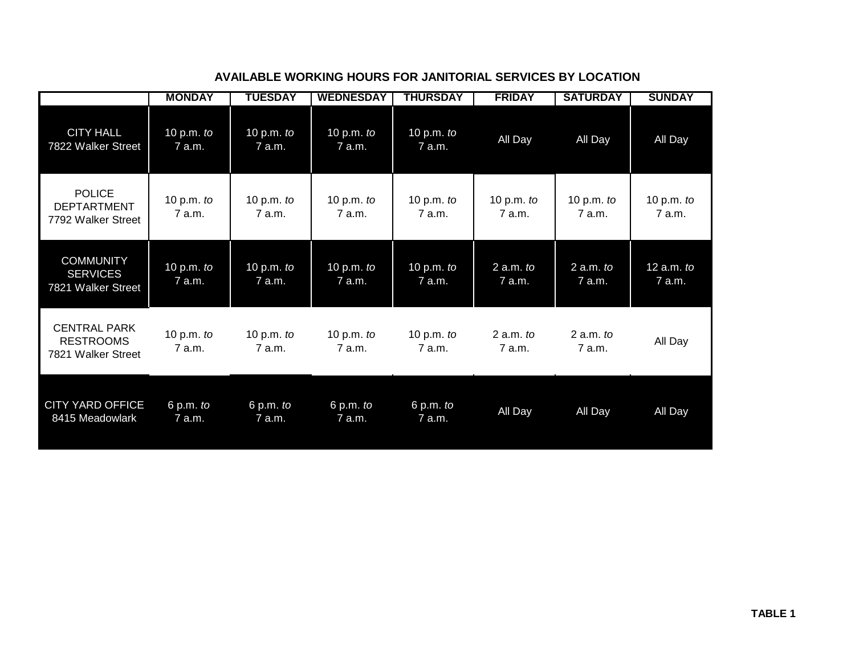|                                                               | <b>MONDAY</b>          | TUESDAY                | <b>WEDNESDAY</b>      | THURSDAY               | <b>FRIDAY</b>          | <b>SATURDAY</b>         | <b>SUNDAY</b>          |
|---------------------------------------------------------------|------------------------|------------------------|-----------------------|------------------------|------------------------|-------------------------|------------------------|
| <b>CITY HALL</b><br>7822 Walker Street                        | 10 p.m. $to$<br>7 a.m. | 10 p.m. $to$<br>7 a.m. | 10 p.m. to<br>7 a.m.  | 10 p.m. to<br>7 a.m.   | All Day                | All Day                 | All Day                |
| <b>POLICE</b><br><b>DEPTARTMENT</b><br>7792 Walker Street     | 10 p.m. $to$<br>7 a.m. | 10 p.m. $to$<br>7 a.m. | 10 p.m. to<br>7 a.m.  | 10 p.m. $to$<br>7 a.m. | 10 p.m. $to$<br>7 a.m. | 10 p.m. $to$<br>7 a.m.  | 10 p.m. $to$<br>7 a.m. |
| <b>COMMUNITY</b><br><b>SERVICES</b><br>7821 Walker Street     | 10 p.m. to<br>7 a.m.   | 10 p.m. $to$<br>7 a.m. | 10 p.m. to<br>7 a.m.  | 10 p.m. to<br>7 a.m.   | $2$ a.m. to<br>7 a.m.  | $2$ a.m. to<br>$7$ a.m. | 12 $a.m.$ to<br>7 a.m. |
| <b>CENTRAL PARK</b><br><b>RESTROOMS</b><br>7821 Walker Street | 10 p.m. $to$<br>7a.m.  | 10 p.m. $to$<br>7 a.m. | 10 p.m. $to$<br>7a.m. | 10 p.m. $to$<br>7a.m.  | $2$ a.m. to<br>7a.m.   | $2$ a.m. to<br>7 a.m.   | All Day                |
| <b>CITY YARD OFFICE</b><br>8415 Meadowlark                    | 6 p.m. to<br>7 a.m.    | 6 p.m. to<br>7 a.m.    | 6 p.m. to<br>7 a.m.   | 6 p.m. to<br>7 a.m.    | All Day                | All Day                 | All Day                |

#### **AVAILABLE WORKING HOURS FOR JANITORIAL SERVICES BY LOCATION**